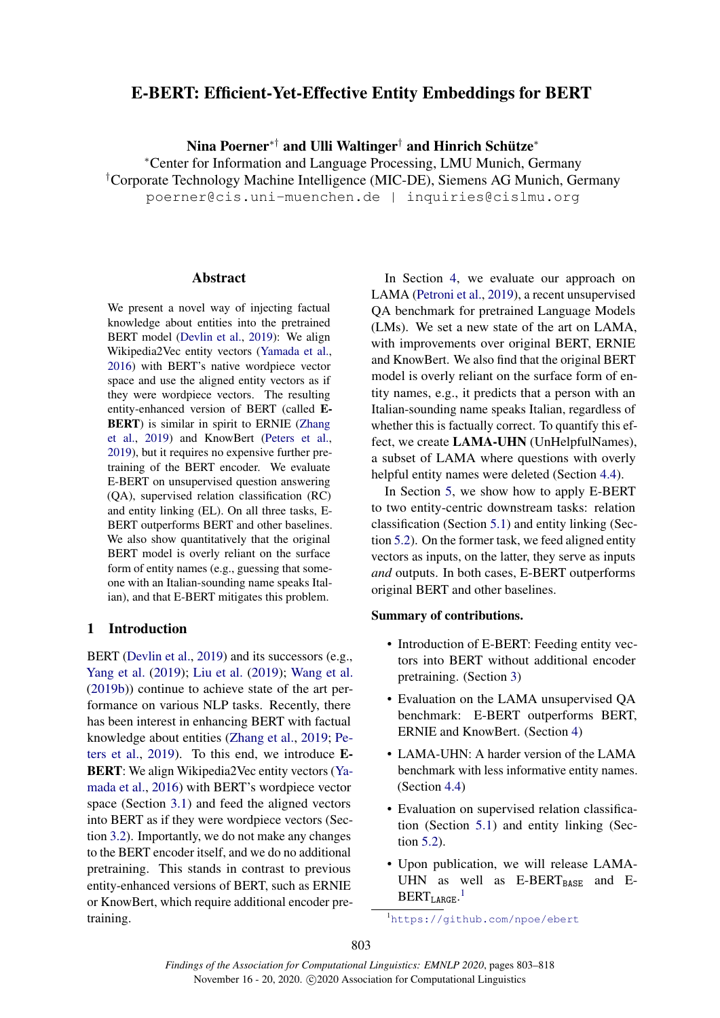# E-BERT: Efficient-Yet-Effective Entity Embeddings for BERT

Nina Poerner\*† and Ulli Waltinger† and Hinrich Schütze\*

<sup>∗</sup>Center for Information and Language Processing, LMU Munich, Germany †Corporate Technology Machine Intelligence (MIC-DE), Siemens AG Munich, Germany poerner@cis.uni-muenchen.de | inquiries@cislmu.org

### Abstract

We present a novel way of injecting factual knowledge about entities into the pretrained BERT model [\(Devlin et al.,](#page-9-0) [2019\)](#page-9-0): We align Wikipedia2Vec entity vectors [\(Yamada et al.,](#page-10-0) [2016\)](#page-10-0) with BERT's native wordpiece vector space and use the aligned entity vectors as if they were wordpiece vectors. The resulting entity-enhanced version of BERT (called E-BERT) is similar in spirit to ERNIE [\(Zhang](#page-10-1) [et al.,](#page-10-1) [2019\)](#page-10-1) and KnowBert [\(Peters et al.,](#page-9-1) [2019\)](#page-9-1), but it requires no expensive further pretraining of the BERT encoder. We evaluate E-BERT on unsupervised question answering (QA), supervised relation classification (RC) and entity linking (EL). On all three tasks, E-BERT outperforms BERT and other baselines. We also show quantitatively that the original BERT model is overly reliant on the surface form of entity names (e.g., guessing that someone with an Italian-sounding name speaks Italian), and that E-BERT mitigates this problem.

### 1 Introduction

BERT [\(Devlin et al.,](#page-9-0) [2019\)](#page-9-0) and its successors (e.g., [Yang et al.](#page-10-2) [\(2019\)](#page-10-2); [Liu et al.](#page-9-2) [\(2019\)](#page-9-2); [Wang et al.](#page-10-3) [\(2019b\)](#page-10-3)) continue to achieve state of the art performance on various NLP tasks. Recently, there has been interest in enhancing BERT with factual knowledge about entities [\(Zhang et al.,](#page-10-1) [2019;](#page-10-1) [Pe](#page-9-1)[ters et al.,](#page-9-1) [2019\)](#page-9-1). To this end, we introduce E-BERT: We align Wikipedia2Vec entity vectors [\(Ya](#page-10-0)[mada et al.,](#page-10-0) [2016\)](#page-10-0) with BERT's wordpiece vector space (Section [3.1\)](#page-1-0) and feed the aligned vectors into BERT as if they were wordpiece vectors (Section [3.2\)](#page-2-0). Importantly, we do not make any changes to the BERT encoder itself, and we do no additional pretraining. This stands in contrast to previous entity-enhanced versions of BERT, such as ERNIE or KnowBert, which require additional encoder pretraining.

In Section [4,](#page-2-1) we evaluate our approach on LAMA [\(Petroni et al.,](#page-9-3) [2019\)](#page-9-3), a recent unsupervised QA benchmark for pretrained Language Models (LMs). We set a new state of the art on LAMA, with improvements over original BERT, ERNIE and KnowBert. We also find that the original BERT model is overly reliant on the surface form of entity names, e.g., it predicts that a person with an Italian-sounding name speaks Italian, regardless of whether this is factually correct. To quantify this effect, we create LAMA-UHN (UnHelpfulNames), a subset of LAMA where questions with overly helpful entity names were deleted (Section [4.4\)](#page-3-0).

In Section [5,](#page-5-0) we show how to apply E-BERT to two entity-centric downstream tasks: relation classification (Section [5.1\)](#page-5-1) and entity linking (Section [5.2\)](#page-6-0). On the former task, we feed aligned entity vectors as inputs, on the latter, they serve as inputs *and* outputs. In both cases, E-BERT outperforms original BERT and other baselines.

### Summary of contributions.

- Introduction of E-BERT: Feeding entity vectors into BERT without additional encoder pretraining. (Section [3\)](#page-1-1)
- Evaluation on the LAMA unsupervised QA benchmark: E-BERT outperforms BERT, ERNIE and KnowBert. (Section [4\)](#page-2-1)
- LAMA-UHN: A harder version of the LAMA benchmark with less informative entity names. (Section [4.4\)](#page-3-0)
- Evaluation on supervised relation classification (Section [5.1\)](#page-5-1) and entity linking (Section [5.2\)](#page-6-0).
- Upon publication, we will release LAMA-UHN as well as  $E-BERT_{BAGF}$  and  $E-BERT_{BAGF}$  $BERT_{LARGE}.$ <sup>[1](#page-0-0)</sup>

<span id="page-0-0"></span><sup>1</sup><https://github.com/npoe/ebert>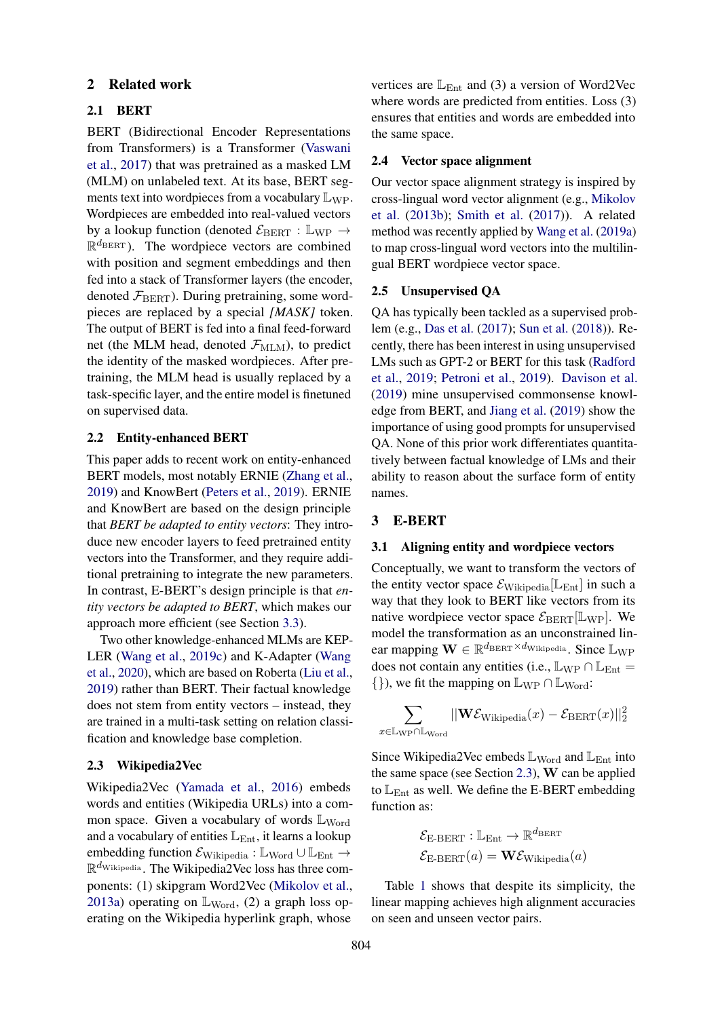### 2 Related work

### <span id="page-1-3"></span>2.1 BERT

BERT (Bidirectional Encoder Representations from Transformers) is a Transformer [\(Vaswani](#page-9-4) [et al.,](#page-9-4) [2017\)](#page-9-4) that was pretrained as a masked LM (MLM) on unlabeled text. At its base, BERT segments text into wordpieces from a vocabulary  $\mathbb{L}_{WP}$ . Wordpieces are embedded into real-valued vectors by a lookup function (denoted  $\mathcal{E}_{BERT} : \mathbb{L}_{WP} \rightarrow$  $\mathbb{R}^{d_{\text{BERT}}}$ ). The wordpiece vectors are combined with position and segment embeddings and then fed into a stack of Transformer layers (the encoder, denoted  $\mathcal{F}_{\text{BERT}}$ ). During pretraining, some wordpieces are replaced by a special *[MASK]* token. The output of BERT is fed into a final feed-forward net (the MLM head, denoted  $\mathcal{F}_{\text{MLM}}$ ), to predict the identity of the masked wordpieces. After pretraining, the MLM head is usually replaced by a task-specific layer, and the entire model is finetuned on supervised data.

#### 2.2 Entity-enhanced BERT

This paper adds to recent work on entity-enhanced BERT models, most notably ERNIE [\(Zhang et al.,](#page-10-1) [2019\)](#page-10-1) and KnowBert [\(Peters et al.,](#page-9-1) [2019\)](#page-9-1). ERNIE and KnowBert are based on the design principle that *BERT be adapted to entity vectors*: They introduce new encoder layers to feed pretrained entity vectors into the Transformer, and they require additional pretraining to integrate the new parameters. In contrast, E-BERT's design principle is that *entity vectors be adapted to BERT*, which makes our approach more efficient (see Section [3.3\)](#page-2-2).

Two other knowledge-enhanced MLMs are KEP-LER [\(Wang et al.,](#page-10-4) [2019c\)](#page-10-4) and K-Adapter [\(Wang](#page-9-5) [et al.,](#page-9-5) [2020\)](#page-9-5), which are based on Roberta [\(Liu et al.,](#page-9-2) [2019\)](#page-9-2) rather than BERT. Their factual knowledge does not stem from entity vectors – instead, they are trained in a multi-task setting on relation classification and knowledge base completion.

#### <span id="page-1-2"></span>2.3 Wikipedia2Vec

Wikipedia2Vec [\(Yamada et al.,](#page-10-0) [2016\)](#page-10-0) embeds words and entities (Wikipedia URLs) into a common space. Given a vocabulary of words  $\mathbb{L}_{\text{Word}}$ and a vocabulary of entities  $\mathbb{L}_{\text{Ent}}$ , it learns a lookup embedding function  $\mathcal{E}_{\text{Wikipedia}} : \mathbb{L}_{\text{Word}} \cup \mathbb{L}_{\text{Ent}} \rightarrow$  $\mathbb{R}^{d_{\text{Wikipedia}}}$ . The Wikipedia2Vec loss has three components: (1) skipgram Word2Vec [\(Mikolov et al.,](#page-9-6) [2013a\)](#page-9-6) operating on  $\mathbb{L}_{Word}$ , (2) a graph loss operating on the Wikipedia hyperlink graph, whose

vertices are  $\mathbb{L}_{\text{Ent}}$  and (3) a version of Word2Vec where words are predicted from entities. Loss (3) ensures that entities and words are embedded into the same space.

#### 2.4 Vector space alignment

Our vector space alignment strategy is inspired by cross-lingual word vector alignment (e.g., [Mikolov](#page-9-7) [et al.](#page-9-7) [\(2013b\)](#page-9-7); [Smith et al.](#page-9-8) [\(2017\)](#page-9-8)). A related method was recently applied by [Wang et al.](#page-9-9) [\(2019a\)](#page-9-9) to map cross-lingual word vectors into the multilingual BERT wordpiece vector space.

#### 2.5 Unsupervised QA

QA has typically been tackled as a supervised problem (e.g., [Das et al.](#page-9-10) [\(2017\)](#page-9-10); [Sun et al.](#page-9-11) [\(2018\)](#page-9-11)). Recently, there has been interest in using unsupervised LMs such as GPT-2 or BERT for this task [\(Radford](#page-9-12) [et al.,](#page-9-12) [2019;](#page-9-12) [Petroni et al.,](#page-9-3) [2019\)](#page-9-3). [Davison et al.](#page-9-13) [\(2019\)](#page-9-13) mine unsupervised commonsense knowledge from BERT, and [Jiang et al.](#page-9-14) [\(2019\)](#page-9-14) show the importance of using good prompts for unsupervised QA. None of this prior work differentiates quantitatively between factual knowledge of LMs and their ability to reason about the surface form of entity names.

### <span id="page-1-1"></span>3 E-BERT

### <span id="page-1-0"></span>3.1 Aligning entity and wordpiece vectors

Conceptually, we want to transform the vectors of the entity vector space  $\mathcal{E}_{\text{Wikipedia}}[\mathbb{L}_{\text{Ent}}]$  in such a way that they look to BERT like vectors from its native wordpiece vector space  $\mathcal{E}_{\text{BERT}}[\mathbb{L}_{\text{WP}}]$ . We model the transformation as an unconstrained linear mapping  $\mathbf{W} \in \mathbb{R}^{d_{\mathrm{BERT}} \times d_{\mathrm{Wikipedia}}}$ . Since  $\mathbb{L}_{\mathrm{WP}}$ does not contain any entities (i.e.,  $\mathbb{L}_{WP} \cap \mathbb{L}_{Ent} =$  $\{\}\)$ , we fit the mapping on  $\mathbb{L}_{WP} \cap \mathbb{L}_{Word}$ :

$$
\sum_{x \in \mathbb{L}_{\text{WP}} \cap \mathbb{L}_{\text{Word}}} ||\mathbf{W} \mathcal{E}_{\text{Wikipedia}}(x) - \mathcal{E}_{\text{BERT}}(x)||_2^2
$$

Since Wikipedia2Vec embeds  $\mathbb{L}_{Word}$  and  $\mathbb{L}_{Ent}$  into the same space (see Section [2.3\)](#page-1-2), W can be applied to  $L_{Ent}$  as well. We define the E-BERT embedding function as:

$$
\mathcal{E}_{\text{E-BERT}} : \mathbb{L}_{\text{Ent}} \to \mathbb{R}^{d_{\text{BERT}}}
$$

$$
\mathcal{E}_{\text{E-BERT}}(a) = \mathbf{W} \mathcal{E}_{\text{Wikipedia}}(a)
$$

Table [1](#page-2-3) shows that despite its simplicity, the linear mapping achieves high alignment accuracies on seen and unseen vector pairs.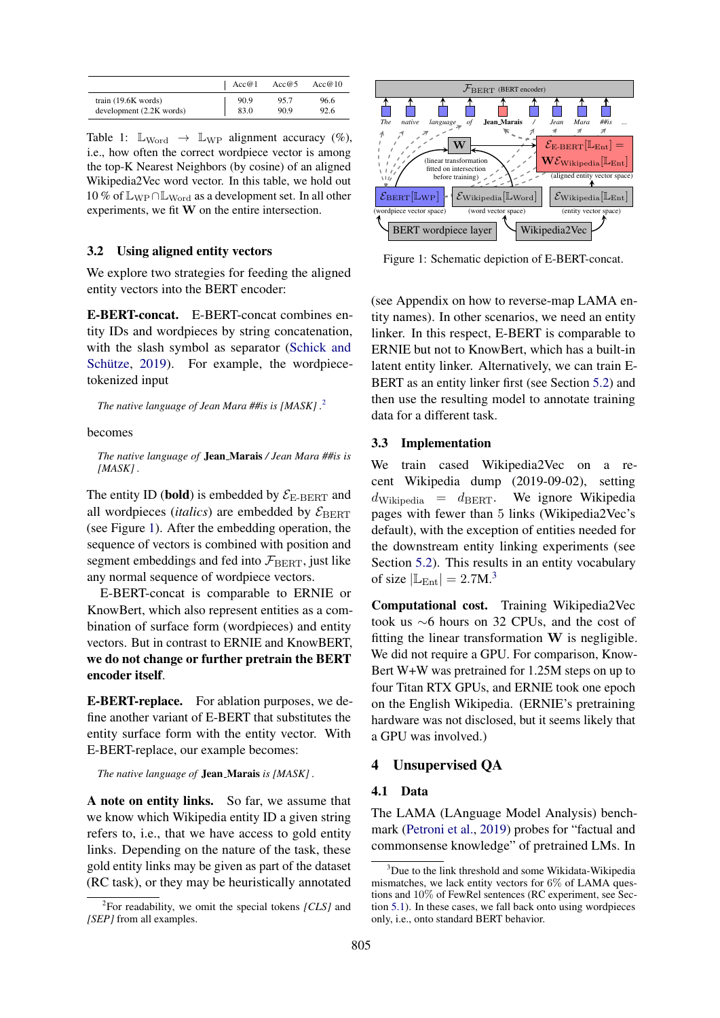<span id="page-2-3"></span>

|                          | Acc@1 | Acc $@5$ | Acc $@10$ |
|--------------------------|-------|----------|-----------|
| train $(19.6K$ words)    | 90.9  | 95.7     | 96.6      |
| development (2.2K words) | 83.0  | 90.9     | 92.6      |

Table 1:  $\mathbb{L}_{\text{Word}} \rightarrow \mathbb{L}_{\text{WP}}$  alignment accuracy (%), i.e., how often the correct wordpiece vector is among the top-K Nearest Neighbors (by cosine) of an aligned Wikipedia2Vec word vector. In this table, we hold out  $10\%$  of  $\mathbb{L}_{WP}\cap \mathbb{L}_{Word}$  as a development set. In all other experiments, we fit W on the entire intersection.

### <span id="page-2-0"></span>3.2 Using aligned entity vectors

We explore two strategies for feeding the aligned entity vectors into the BERT encoder:

E-BERT-concat. E-BERT-concat combines entity IDs and wordpieces by string concatenation, with the slash symbol as separator [\(Schick and](#page-9-15) Schütze, [2019\)](#page-9-15). For example, the wordpiecetokenized input

*The native language of Jean Mara ##is is [MASK] .*[2](#page-2-4)

#### becomes

*The native language of* Jean Marais */ Jean Mara ##is is [MASK] .*

The entity ID (bold) is embedded by  $\mathcal{E}_{\text{E-BERT}}$  and all wordpieces *(italics)* are embedded by  $\mathcal{E}_{\text{BERT}}$ (see Figure [1\)](#page-2-5). After the embedding operation, the sequence of vectors is combined with position and segment embeddings and fed into  $\mathcal{F}_{\text{BERT}}$ , just like any normal sequence of wordpiece vectors.

E-BERT-concat is comparable to ERNIE or KnowBert, which also represent entities as a combination of surface form (wordpieces) and entity vectors. But in contrast to ERNIE and KnowBERT, we do not change or further pretrain the BERT encoder itself.

E-BERT-replace. For ablation purposes, we define another variant of E-BERT that substitutes the entity surface form with the entity vector. With E-BERT-replace, our example becomes:

*The native language of* Jean Marais *is [MASK] .*

A note on entity links. So far, we assume that we know which Wikipedia entity ID a given string refers to, i.e., that we have access to gold entity links. Depending on the nature of the task, these gold entity links may be given as part of the dataset (RC task), or they may be heuristically annotated

<span id="page-2-5"></span>

Figure 1: Schematic depiction of E-BERT-concat.

(see Appendix on how to reverse-map LAMA entity names). In other scenarios, we need an entity linker. In this respect, E-BERT is comparable to ERNIE but not to KnowBert, which has a built-in latent entity linker. Alternatively, we can train E-BERT as an entity linker first (see Section [5.2\)](#page-6-0) and then use the resulting model to annotate training data for a different task.

### <span id="page-2-2"></span>3.3 Implementation

We train cased Wikipedia2Vec on a recent Wikipedia dump (2019-09-02), setting  $d_{\text{Wikipedia}} = d_{\text{BERT}}$ . We ignore Wikipedia pages with fewer than 5 links (Wikipedia2Vec's default), with the exception of entities needed for the downstream entity linking experiments (see Section [5.2\)](#page-6-0). This results in an entity vocabulary of size  $|\mathbb{L}_{\text{Ent}}| = 2.7 \text{M}^3$  $|\mathbb{L}_{\text{Ent}}| = 2.7 \text{M}^3$ .

Computational cost. Training Wikipedia2Vec took us ∼6 hours on 32 CPUs, and the cost of fitting the linear transformation  $W$  is negligible. We did not require a GPU. For comparison, Know-Bert W+W was pretrained for 1.25M steps on up to four Titan RTX GPUs, and ERNIE took one epoch on the English Wikipedia. (ERNIE's pretraining hardware was not disclosed, but it seems likely that a GPU was involved.)

### <span id="page-2-1"></span>4 Unsupervised QA

### <span id="page-2-7"></span>4.1 Data

The LAMA (LAnguage Model Analysis) benchmark [\(Petroni et al.,](#page-9-3) [2019\)](#page-9-3) probes for "factual and commonsense knowledge" of pretrained LMs. In

<span id="page-2-4"></span><sup>2</sup> For readability, we omit the special tokens *[CLS]* and *[SEP]* from all examples.

<span id="page-2-6"></span><sup>&</sup>lt;sup>3</sup>Due to the link threshold and some Wikidata-Wikipedia mismatches, we lack entity vectors for 6% of LAMA questions and 10% of FewRel sentences (RC experiment, see Section [5.1\)](#page-5-1). In these cases, we fall back onto using wordpieces only, i.e., onto standard BERT behavior.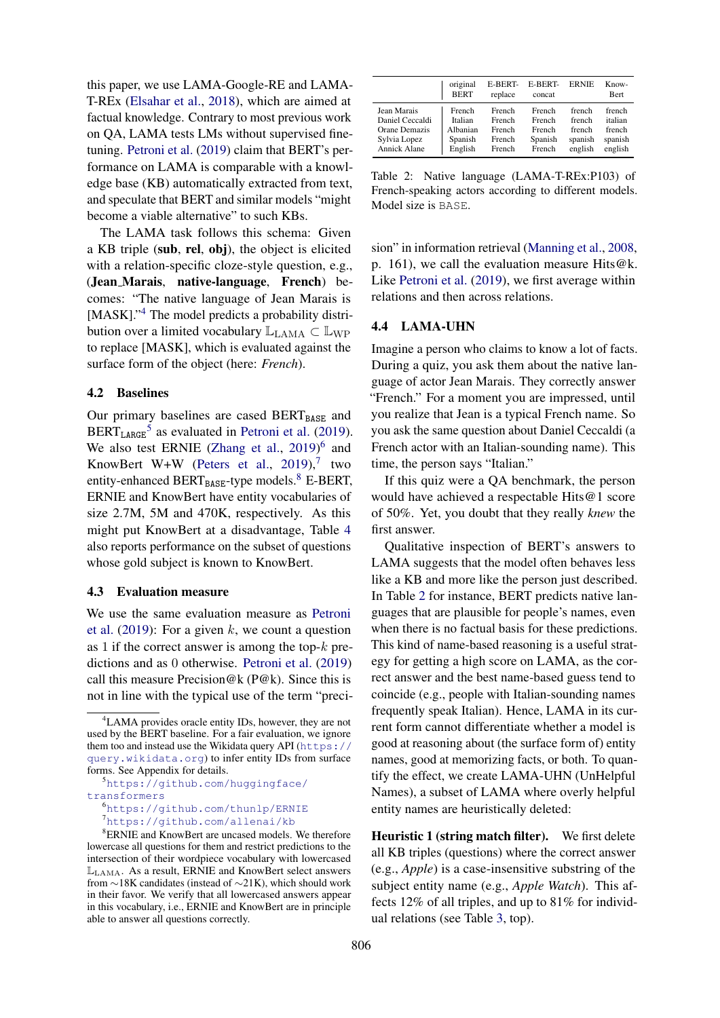this paper, we use LAMA-Google-RE and LAMA-T-REx [\(Elsahar et al.,](#page-9-16) [2018\)](#page-9-16), which are aimed at factual knowledge. Contrary to most previous work on QA, LAMA tests LMs without supervised finetuning. [Petroni et al.](#page-9-3) [\(2019\)](#page-9-3) claim that BERT's performance on LAMA is comparable with a knowledge base (KB) automatically extracted from text, and speculate that BERT and similar models "might become a viable alternative" to such KBs.

The LAMA task follows this schema: Given a KB triple (sub, rel, obj), the object is elicited with a relation-specific cloze-style question, e.g., (Jean Marais, native-language, French) becomes: "The native language of Jean Marais is [MASK]."<sup>[4](#page-3-1)</sup> The model predicts a probability distribution over a limited vocabulary  $\mathbb{L}_{\text{LAMA}} \subset \mathbb{L}_{\text{WP}}$ to replace [MASK], which is evaluated against the surface form of the object (here: *French*).

### 4.2 Baselines

Our primary baselines are cased BERTBASE and  $BERT<sub>LARGE</sub><sup>5</sup>$  $BERT<sub>LARGE</sub><sup>5</sup>$  $BERT<sub>LARGE</sub><sup>5</sup>$  as evaluated in [Petroni et al.](#page-9-3) [\(2019\)](#page-9-3). We also test ERNIE [\(Zhang et al.,](#page-10-1) [2019\)](#page-10-1)<sup>[6](#page-3-3)</sup> and KnowBert W+W [\(Peters et al.,](#page-9-1) [2019\)](#page-9-1),<sup>[7](#page-3-4)</sup> two entity-enhanced BERT $_{BASE}$ -type models.<sup>[8](#page-3-5)</sup> E-BERT, ERNIE and KnowBert have entity vocabularies of size 2.7M, 5M and 470K, respectively. As this might put KnowBert at a disadvantage, Table [4](#page-4-0) also reports performance on the subset of questions whose gold subject is known to KnowBert.

#### 4.3 Evaluation measure

We use the same evaluation measure as [Petroni](#page-9-3) [et al.](#page-9-3)  $(2019)$ : For a given k, we count a question as 1 if the correct answer is among the top- $k$  predictions and as 0 otherwise. [Petroni et al.](#page-9-3) [\(2019\)](#page-9-3) call this measure Precision@k (P@k). Since this is not in line with the typical use of the term "preci-

<span id="page-3-2"></span><sup>5</sup>[https://github.com/huggingface/](https://github.com/huggingface/transformers)

<span id="page-3-4"></span><span id="page-3-3"></span><sup>6</sup><https://github.com/thunlp/ERNIE> <sup>7</sup><https://github.com/allenai/kb>

<span id="page-3-6"></span>

|                     | original<br><b>BERT</b> | <b>E-BERT-</b><br>replace | E-BERT-<br>concat | <b>ERNIE</b> | Know-<br><b>Bert</b> |
|---------------------|-------------------------|---------------------------|-------------------|--------------|----------------------|
| Jean Marais         | French                  | French                    | French            | french       | french               |
| Daniel Ceccaldi     | Italian                 | French                    | French            | french       | italian              |
| Orane Demazis       | Albanian                | French                    | French            | french       | french               |
| Sylvia Lopez        | Spanish                 | French                    | Spanish           | spanish      | spanish              |
| <b>Annick Alane</b> | English                 | French                    | French            | english      | english              |

Table 2: Native language (LAMA-T-REx:P103) of French-speaking actors according to different models. Model size is BASE.

sion" in information retrieval [\(Manning et al.,](#page-9-17) [2008,](#page-9-17) p. 161), we call the evaluation measure Hits@k. Like [Petroni et al.](#page-9-3) [\(2019\)](#page-9-3), we first average within relations and then across relations.

### <span id="page-3-0"></span>4.4 LAMA-UHN

Imagine a person who claims to know a lot of facts. During a quiz, you ask them about the native language of actor Jean Marais. They correctly answer "French." For a moment you are impressed, until you realize that Jean is a typical French name. So you ask the same question about Daniel Ceccaldi (a French actor with an Italian-sounding name). This time, the person says "Italian."

If this quiz were a QA benchmark, the person would have achieved a respectable Hits@1 score of 50%. Yet, you doubt that they really *knew* the first answer.

Qualitative inspection of BERT's answers to LAMA suggests that the model often behaves less like a KB and more like the person just described. In Table [2](#page-3-6) for instance, BERT predicts native languages that are plausible for people's names, even when there is no factual basis for these predictions. This kind of name-based reasoning is a useful strategy for getting a high score on LAMA, as the correct answer and the best name-based guess tend to coincide (e.g., people with Italian-sounding names frequently speak Italian). Hence, LAMA in its current form cannot differentiate whether a model is good at reasoning about (the surface form of) entity names, good at memorizing facts, or both. To quantify the effect, we create LAMA-UHN (UnHelpful Names), a subset of LAMA where overly helpful entity names are heuristically deleted:

Heuristic 1 (string match filter). We first delete all KB triples (questions) where the correct answer (e.g., *Apple*) is a case-insensitive substring of the subject entity name (e.g., *Apple Watch*). This affects 12% of all triples, and up to 81% for individual relations (see Table [3,](#page-4-1) top).

<span id="page-3-1"></span><sup>4</sup>LAMA provides oracle entity IDs, however, they are not used by the BERT baseline. For a fair evaluation, we ignore them too and instead use the Wikidata query API ([https://](https://query.wikidata.org) [query.wikidata.org](https://query.wikidata.org)) to infer entity IDs from surface forms. See Appendix for details.

[transformers](https://github.com/huggingface/transformers)

<span id="page-3-5"></span><sup>&</sup>lt;sup>8</sup>ERNIE and KnowBert are uncased models. We therefore lowercase all questions for them and restrict predictions to the intersection of their wordpiece vocabulary with lowercased LLAMA. As a result, ERNIE and KnowBert select answers from ∼18K candidates (instead of ∼21K), which should work in their favor. We verify that all lowercased answers appear in this vocabulary, i.e., ERNIE and KnowBert are in principle able to answer all questions correctly.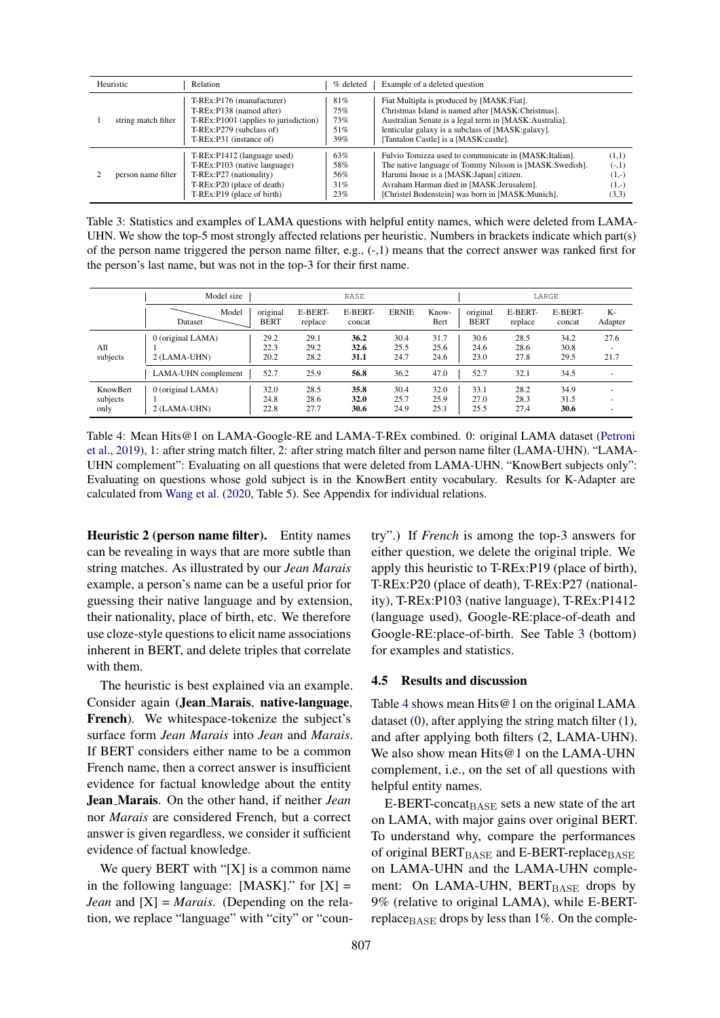<span id="page-4-1"></span>

| Heuristic           | Relation                                                                                                                                              | % deleted                       | Example of a deleted question                                                                                                                                                                                                                               |                                                 |
|---------------------|-------------------------------------------------------------------------------------------------------------------------------------------------------|---------------------------------|-------------------------------------------------------------------------------------------------------------------------------------------------------------------------------------------------------------------------------------------------------------|-------------------------------------------------|
| string match filter | T-REx:P176 (manufacturer)<br>T-REx:P138 (named after)<br>T-REx:P1001 (applies to jurisdiction)<br>T-REx:P279 (subclass of)<br>T-REx:P31 (instance of) | 81%<br>75%<br>73%<br>51%<br>39% | Fiat Multipla is produced by [MASK:Fiat].<br>Christmas Island is named after [MASK:Christmas].<br>Australian Senate is a legal term in [MASK:Australia].<br>lenticular galaxy is a subclass of [MASK:galaxy].<br>Tantalon Castle] is a [MASK:castle].       |                                                 |
| person name filter  | T-REx:P1412 (language used)<br>T-REx:P103 (native language)<br>T-REx:P27 (nationality)<br>T-REx:P20 (place of death)<br>T-REx:P19 (place of birth)    | 63%<br>58%<br>56%<br>31%<br>23% | Fulvio Tomizza used to communicate in [MASK:Italian].<br>The native language of Tommy Nilsson is [MASK:Swedish].<br>Harumi Inoue is a [MASK:Japan] citizen.<br>Avraham Harman died in [MASK:Jerusalem].<br>[Christel Bodenstein] was born in [MASK:Munich]. | (1,1)<br>$(-,1)$<br>$(1,-)$<br>$(1,-)$<br>(3,3) |

Table 3: Statistics and examples of LAMA questions with helpful entity names, which were deleted from LAMA-UHN. We show the top-5 most strongly affected relations per heuristic. Numbers in brackets indicate which part(s) of the person name triggered the person name filter, e.g., (-,1) means that the correct answer was ranked first for the person's last name, but was not in the top-3 for their first name.

<span id="page-4-0"></span>

|                                     | Model size                        |                         | <b>BASE</b>          |                      |                      | LARGE                |                         |                      |                      |               |
|-------------------------------------|-----------------------------------|-------------------------|----------------------|----------------------|----------------------|----------------------|-------------------------|----------------------|----------------------|---------------|
|                                     | Model<br>Dataset                  | original<br><b>BERT</b> | E-BERT-<br>replace   | E-BERT-<br>concat    | <b>ERNIE</b>         | Know-<br>Bert        | original<br><b>BERT</b> | E-BERT-<br>replace   | E-BERT-<br>concat    | K-<br>Adapter |
| All<br>subjects                     | 0 (original LAMA)<br>2 (LAMA-UHN) | 29.2<br>22.3<br>20.2    | 29.1<br>29.2<br>28.2 | 36.2<br>32.6<br>31.1 | 30.4<br>25.5<br>24.7 | 31.7<br>25.6<br>24.6 | 30.6<br>24.6<br>23.0    | 28.5<br>28.6<br>27.8 | 34.2<br>30.8<br>29.5 | 27.6<br>21.7  |
|                                     | LAMA-UHN complement               | 52.7                    | 25.9                 | 56.8                 | 36.2                 | 47.0                 | 52.7                    | 32.1                 | 34.5                 | <b>.</b>      |
| <b>KnowBert</b><br>subjects<br>only | 0 (original LAMA)<br>2 (LAMA-UHN) | 32.0<br>24.8<br>22.8    | 28.5<br>28.6<br>27.7 | 35.8<br>32.0<br>30.6 | 30.4<br>25.7<br>24.9 | 32.0<br>25.9<br>25.1 | 33.1<br>27.0<br>25.5    | 28.2<br>28.3<br>27.4 | 34.9<br>31.5<br>30.6 | - 1           |

Table 4: Mean Hits@1 on LAMA-Google-RE and LAMA-T-REx combined. 0: original LAMA dataset [\(Petroni](#page-9-3) [et al.,](#page-9-3) [2019\)](#page-9-3), 1: after string match filter, 2: after string match filter and person name filter (LAMA-UHN). "LAMA-UHN complement": Evaluating on all questions that were deleted from LAMA-UHN. "KnowBert subjects only": Evaluating on questions whose gold subject is in the KnowBert entity vocabulary. Results for K-Adapter are calculated from [Wang et al.](#page-9-5) [\(2020,](#page-9-5) Table 5). See Appendix for individual relations.

Heuristic 2 (person name filter). Entity names can be revealing in ways that are more subtle than string matches. As illustrated by our *Jean Marais* example, a person's name can be a useful prior for guessing their native language and by extension, their nationality, place of birth, etc. We therefore use cloze-style questions to elicit name associations inherent in BERT, and delete triples that correlate with them.

The heuristic is best explained via an example. Consider again (Jean Marais, native-language, French). We whitespace-tokenize the subject's surface form *Jean Marais* into *Jean* and *Marais*. If BERT considers either name to be a common French name, then a correct answer is insufficient evidence for factual knowledge about the entity Jean Marais. On the other hand, if neither *Jean* nor *Marais* are considered French, but a correct answer is given regardless, we consider it sufficient evidence of factual knowledge.

We query BERT with " $[X]$  is a common name in the following language:  $[MASK]$ ." for  $[X] =$ *Jean* and [X] = *Marais*. (Depending on the relation, we replace "language" with "city" or "country".) If *French* is among the top-3 answers for either question, we delete the original triple. We apply this heuristic to T-REx:P19 (place of birth), T-REx:P20 (place of death), T-REx:P27 (nationality), T-REx:P103 (native language), T-REx:P1412 (language used), Google-RE:place-of-death and Google-RE:place-of-birth. See Table [3](#page-4-1) (bottom) for examples and statistics.

### 4.5 Results and discussion

Table [4](#page-4-0) shows mean Hits@1 on the original LAMA dataset (0), after applying the string match filter (1), and after applying both filters (2, LAMA-UHN). We also show mean Hits@1 on the LAMA-UHN complement, i.e., on the set of all questions with helpful entity names.

E-BERT-concat<sub>BASE</sub> sets a new state of the art on LAMA, with major gains over original BERT. To understand why, compare the performances of original  $BERT_{BASE}$  and E-BERT-replace BASE on LAMA-UHN and the LAMA-UHN complement: On LAMA-UHN, BERTBASE drops by 9% (relative to original LAMA), while E-BERTreplace  $B_{\text{ASE}}$  drops by less than 1%. On the comple-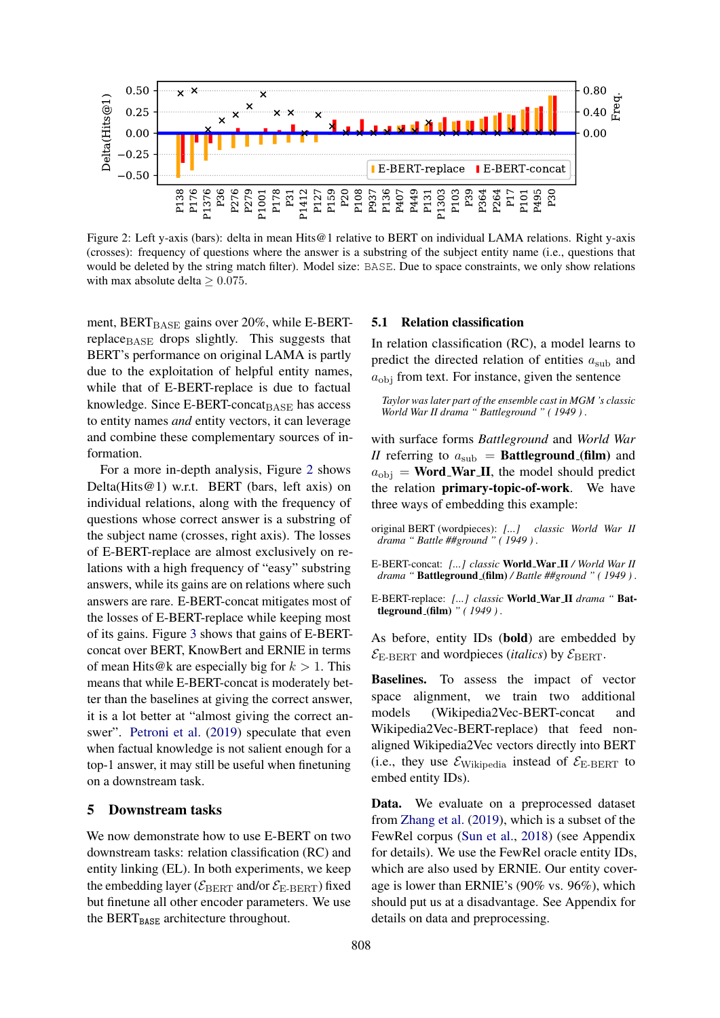<span id="page-5-2"></span>

Figure 2: Left y-axis (bars): delta in mean Hits@1 relative to BERT on individual LAMA relations. Right y-axis (crosses): frequency of questions where the answer is a substring of the subject entity name (i.e., questions that would be deleted by the string match filter). Model size: BASE. Due to space constraints, we only show relations with max absolute delta  $> 0.075$ .

ment,  $BERT_{BASE}$  gains over 20%, while E-BERTreplace<sub>BASE</sub> drops slightly. This suggests that BERT's performance on original LAMA is partly due to the exploitation of helpful entity names, while that of E-BERT-replace is due to factual knowledge. Since  $E$ -BERT-concat $B$ ASE has access to entity names *and* entity vectors, it can leverage and combine these complementary sources of information.

For a more in-depth analysis, Figure [2](#page-5-2) shows Delta(Hits@1) w.r.t. BERT (bars, left axis) on individual relations, along with the frequency of questions whose correct answer is a substring of the subject name (crosses, right axis). The losses of E-BERT-replace are almost exclusively on relations with a high frequency of "easy" substring answers, while its gains are on relations where such answers are rare. E-BERT-concat mitigates most of the losses of E-BERT-replace while keeping most of its gains. Figure [3](#page-6-1) shows that gains of E-BERTconcat over BERT, KnowBert and ERNIE in terms of mean Hits@k are especially big for  $k > 1$ . This means that while E-BERT-concat is moderately better than the baselines at giving the correct answer, it is a lot better at "almost giving the correct an-swer". [Petroni et al.](#page-9-3) [\(2019\)](#page-9-3) speculate that even when factual knowledge is not salient enough for a top-1 answer, it may still be useful when finetuning on a downstream task.

#### <span id="page-5-0"></span>5 Downstream tasks

We now demonstrate how to use E-BERT on two downstream tasks: relation classification (RC) and entity linking (EL). In both experiments, we keep the embedding layer ( $\mathcal{E}_{\text{BERT}}$  and/or  $\mathcal{E}_{\text{E-BERT}}$ ) fixed but finetune all other encoder parameters. We use the BERT $_{\text{BASE}}$  architecture throughout.

#### <span id="page-5-1"></span>5.1 Relation classification

In relation classification (RC), a model learns to predict the directed relation of entities  $a_{sub}$  and  $a_{\text{obj}}$  from text. For instance, given the sentence

*Taylor was later part of the ensemble cast in MGM 's classic World War II drama " Battleground " ( 1949 ) .*

with surface forms *Battleground* and *World War II* referring to  $a_{sub}$  = **Battleground (film)** and  $a_{\text{obj}}$  = **Word\_War\_II**, the model should predict the relation primary-topic-of-work. We have three ways of embedding this example:

- original BERT (wordpieces): *[...] classic World War II drama " Battle ##ground " ( 1949 ) .*
- E-BERT-concat: *[...] classic* World War II */ World War II drama "* Battleground (film) */ Battle ##ground " ( 1949 ) .*
- E-BERT-replace: *[...] classic* World War II *drama "* Battleground (film) *" ( 1949 ) .*

As before, entity IDs (bold) are embedded by  $\mathcal{E}_{\text{E-BERT}}$  and wordpieces *(italics)* by  $\mathcal{E}_{\text{BERT}}$ .

Baselines. To assess the impact of vector space alignment, we train two additional models (Wikipedia2Vec-BERT-concat and Wikipedia2Vec-BERT-replace) that feed nonaligned Wikipedia2Vec vectors directly into BERT (i.e., they use  $\mathcal{E}_{\text{Wikipedia}}$  instead of  $\mathcal{E}_{\text{E-BERT}}$  to embed entity IDs).

Data. We evaluate on a preprocessed dataset from [Zhang et al.](#page-10-1) [\(2019\)](#page-10-1), which is a subset of the FewRel corpus [\(Sun et al.,](#page-9-11) [2018\)](#page-9-11) (see Appendix for details). We use the FewRel oracle entity IDs, which are also used by ERNIE. Our entity coverage is lower than ERNIE's (90% vs. 96%), which should put us at a disadvantage. See Appendix for details on data and preprocessing.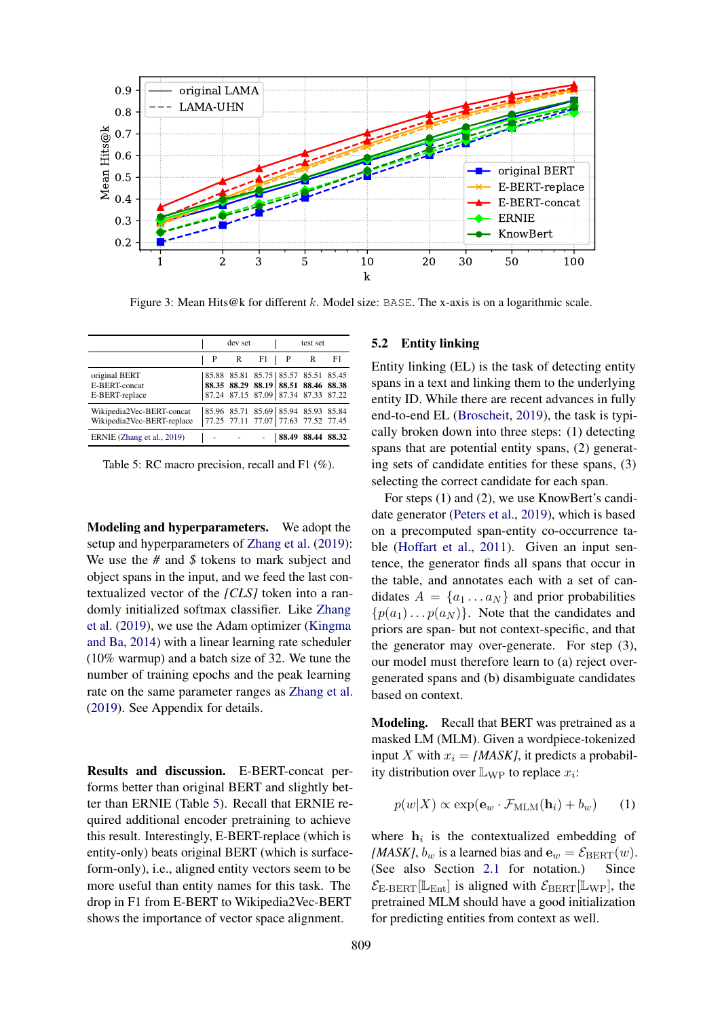<span id="page-6-1"></span>

Figure 3: Mean Hits@k for different k. Model size: BASE. The x-axis is on a logarithmic scale.

<span id="page-6-2"></span>

|                                                         |                                     | dev set |                                                                                                                   |       | test set |       |
|---------------------------------------------------------|-------------------------------------|---------|-------------------------------------------------------------------------------------------------------------------|-------|----------|-------|
|                                                         | P                                   | R       | F1                                                                                                                | P     | R        | F1    |
| original BERT<br>E-BERT-concat<br>E-BERT-replace        |                                     |         | 85.88 85.81 85.75 85.57 85.51 85.45<br>88.35 88.29 88.19 88.51 88.46 88.38<br>87.24 87.15 87.09 87.34 87.33 87.22 |       |          |       |
| Wikipedia2Vec-BERT-concat<br>Wikipedia2Vec-BERT-replace | 85.96 85.71 85.69 85.94 85.93 85.84 |         | 77.25 77.11 77.07 77.63 77.52 77.45                                                                               |       |          |       |
| ERNIE (Zhang et al., 2019)                              |                                     |         |                                                                                                                   | 88.49 | 88.44    | 88.32 |

Table 5: RC macro precision, recall and F1 (%).

Modeling and hyperparameters. We adopt the setup and hyperparameters of [Zhang et al.](#page-10-1) [\(2019\)](#page-10-1): We use the *#* and *\$* tokens to mark subject and object spans in the input, and we feed the last contextualized vector of the *[CLS]* token into a randomly initialized softmax classifier. Like [Zhang](#page-10-1) [et al.](#page-10-1) [\(2019\)](#page-10-1), we use the Adam optimizer [\(Kingma](#page-9-18) [and Ba,](#page-9-18) [2014\)](#page-9-18) with a linear learning rate scheduler (10% warmup) and a batch size of 32. We tune the number of training epochs and the peak learning rate on the same parameter ranges as [Zhang et al.](#page-10-1) [\(2019\)](#page-10-1). See Appendix for details.

Results and discussion. E-BERT-concat performs better than original BERT and slightly better than ERNIE (Table [5\)](#page-6-2). Recall that ERNIE required additional encoder pretraining to achieve this result. Interestingly, E-BERT-replace (which is entity-only) beats original BERT (which is surfaceform-only), i.e., aligned entity vectors seem to be more useful than entity names for this task. The drop in F1 from E-BERT to Wikipedia2Vec-BERT shows the importance of vector space alignment.

### <span id="page-6-0"></span>5.2 Entity linking

Entity linking (EL) is the task of detecting entity spans in a text and linking them to the underlying entity ID. While there are recent advances in fully end-to-end EL [\(Broscheit,](#page-9-19) [2019\)](#page-9-19), the task is typically broken down into three steps: (1) detecting spans that are potential entity spans, (2) generating sets of candidate entities for these spans, (3) selecting the correct candidate for each span.

For steps (1) and (2), we use KnowBert's candidate generator [\(Peters et al.,](#page-9-1) [2019\)](#page-9-1), which is based on a precomputed span-entity co-occurrence table [\(Hoffart et al.,](#page-9-20) [2011\)](#page-9-20). Given an input sentence, the generator finds all spans that occur in the table, and annotates each with a set of candidates  $A = \{a_1 \dots a_N\}$  and prior probabilities  $\{p(a_1) \dots p(a_N)\}\$ . Note that the candidates and priors are span- but not context-specific, and that the generator may over-generate. For step (3), our model must therefore learn to (a) reject overgenerated spans and (b) disambiguate candidates based on context.

Modeling. Recall that BERT was pretrained as a masked LM (MLM). Given a wordpiece-tokenized input X with  $x_i = [MASK]$ , it predicts a probability distribution over  $\mathbb{L}_{WP}$  to replace  $x_i$ :

$$
p(w|X) \propto \exp(\mathbf{e}_w \cdot \mathcal{F}_{\text{MLM}}(\mathbf{h}_i) + b_w)
$$
 (1)

where  $h_i$  is the contextualized embedding of [*MASK*],  $b_w$  is a learned bias and  $\mathbf{e}_w = \mathcal{E}_{\text{BERT}}(w)$ . (See also Section [2.1](#page-1-3) for notation.) Since  $\mathcal{E}_{\text{E-BERT}}[\mathbb{L}_{\text{Ent}}]$  is aligned with  $\mathcal{E}_{\text{BERT}}[\mathbb{L}_{\text{WP}}]$ , the pretrained MLM should have a good initialization for predicting entities from context as well.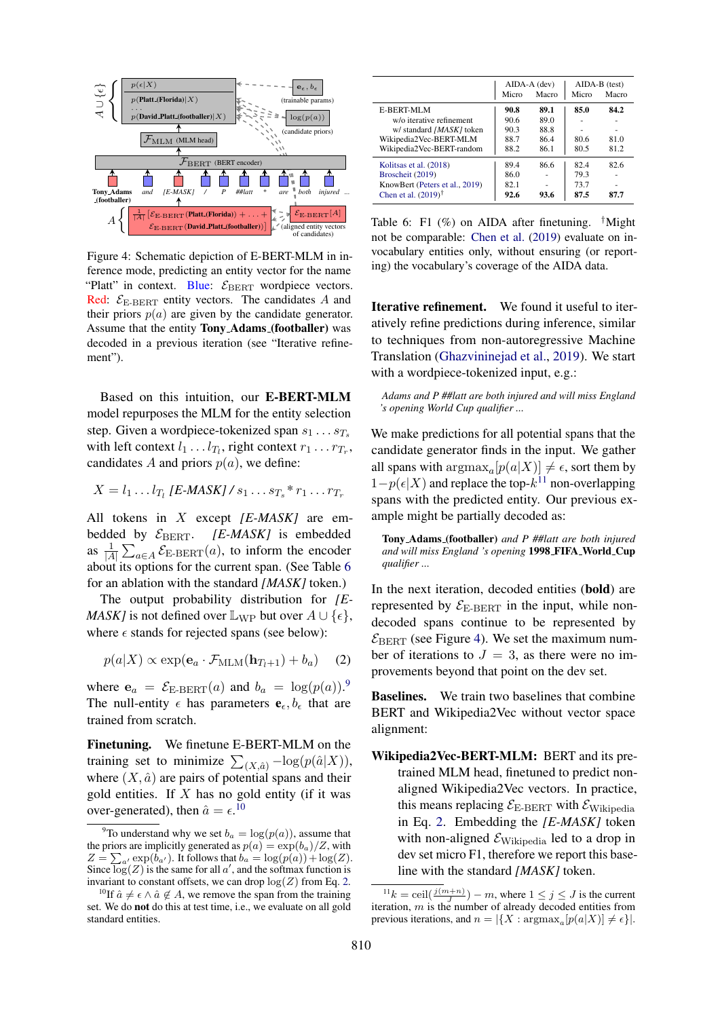<span id="page-7-5"></span>

Figure 4: Schematic depiction of E-BERT-MLM in inference mode, predicting an entity vector for the name "Platt" in context. Blue:  $\mathcal{E}_{\text{BERT}}$  wordpiece vectors. Red:  $\mathcal{E}_{\text{E-BERT}}$  entity vectors. The candidates A and their priors  $p(a)$  are given by the candidate generator. Assume that the entity Tony Adams (footballer) was decoded in a previous iteration (see "Iterative refinement").

Based on this intuition, our E-BERT-MLM model repurposes the MLM for the entity selection step. Given a wordpiece-tokenized span  $s_1 \ldots s_T$ with left context  $l_1 \dots l_{T_l}$ , right context  $r_1 \dots r_{T_r}$ , candidates A and priors  $p(a)$ , we define:

$$
X = l_1 \dots l_{T_l} \left[ E \cdot \text{MASK} \right] / s_1 \dots s_{T_s} * r_1 \dots r_{T_r}
$$

All tokens in X except *[E-MASK]* are embedded by  $\mathcal{E}_{\text{BERT}}$ . [E-MASK] is embedded as  $\frac{1}{|A|} \sum_{a \in A} \mathcal{E}_{\text{E-BERT}}(a)$ , to inform the encoder about its options for the current span. (See Table [6](#page-7-0) for an ablation with the standard *[MASK]* token.)

The output probability distribution for *[E-MASK]* is not defined over  $\mathbb{L}_{WP}$  but over  $A \cup \{\epsilon\},\$ where  $\epsilon$  stands for rejected spans (see below):

$$
p(a|X) \propto \exp(\mathbf{e}_a \cdot \mathcal{F}_{\text{MLM}}(\mathbf{h}_{T_l+1}) + b_a)
$$
 (2)

where  $e_a = \mathcal{E}_{\text{E-BERT}}(a)$  and  $b_a = \log(p(a))$ . The null-entity  $\epsilon$  has parameters  $\mathbf{e}_{\epsilon}, b_{\epsilon}$  that are trained from scratch.

Finetuning. We finetune E-BERT-MLM on the training set to minimize  $\sum_{(X,\hat{a})} -\log(p(\hat{a}|X)),$ where  $(X, \hat{a})$  are pairs of potential spans and their gold entities. If  $X$  has no gold entity (if it was over-generated), then  $\hat{a} = \epsilon$ .<sup>[10](#page-7-2)</sup>

<span id="page-7-0"></span>

|                                   |       | $AIDA-A$ (dev) |       | $AIDA-B$ (test) |
|-----------------------------------|-------|----------------|-------|-----------------|
|                                   | Micro | Macro          | Micro | Macro           |
| E-BERT-MLM                        | 90.8  | 89.1           | 85.0  | 84.2            |
| w/o iterative refinement          | 90.6  | 89.0           |       |                 |
| w/ standard [MASK] token          | 90.3  | 88.8           |       | ۰               |
| Wikipedia2Vec-BERT-MLM            | 88.7  | 86.4           | 80.6  | 81.0            |
| Wikipedia2Vec-BERT-random         | 88.2  | 86.1           | 80.5  | 81.2            |
| Kolitsas et al. (2018)            | 89.4  | 86.6           | 82.4  | 82.6            |
| Broscheit (2019)                  | 86.0  |                | 79.3  |                 |
| KnowBert (Peters et al., 2019)    | 82.1  |                | 73.7  |                 |
| Chen et al. $(2019)$ <sup>†</sup> | 92.6  | 93.6           | 87.5  | 87.7            |

Table 6: F1  $(\%)$  on AIDA after finetuning. <sup>†</sup>Might not be comparable: [Chen et al.](#page-9-22) [\(2019\)](#page-9-22) evaluate on invocabulary entities only, without ensuring (or reporting) the vocabulary's coverage of the AIDA data.

Iterative refinement. We found it useful to iteratively refine predictions during inference, similar to techniques from non-autoregressive Machine Translation [\(Ghazvininejad et al.,](#page-9-23) [2019\)](#page-9-23). We start with a wordpiece-tokenized input, e.g.:

*Adams and P ##latt are both injured and will miss England 's opening World Cup qualifier ...*

We make predictions for all potential spans that the candidate generator finds in the input. We gather all spans with  $\arg \max_a[p(a|X)] \neq \epsilon$ , sort them by  $1-p(\epsilon|X)$  and replace the top- $k^{11}$  $k^{11}$  $k^{11}$  non-overlapping spans with the predicted entity. Our previous example might be partially decoded as:

Tony Adams (footballer) *and P ##latt are both injured and will miss England 's opening* 1998 FIFA World Cup *qualifier ...*

In the next iteration, decoded entities (bold) are represented by  $\mathcal{E}_{\text{E-BERT}}$  in the input, while nondecoded spans continue to be represented by  $\mathcal{E}_{\text{BERT}}$  (see Figure [4\)](#page-7-5). We set the maximum number of iterations to  $J = 3$ , as there were no improvements beyond that point on the dev set.

<span id="page-7-3"></span>Baselines. We train two baselines that combine BERT and Wikipedia2Vec without vector space alignment:

Wikipedia2Vec-BERT-MLM: BERT and its pretrained MLM head, finetuned to predict nonaligned Wikipedia2Vec vectors. In practice, this means replacing  $\mathcal{E}_{\text{E-BERT}}$  with  $\mathcal{E}_{\text{Wikipedia}}$ in Eq. [2.](#page-7-3) Embedding the *[E-MASK]* token with non-aligned  $\mathcal{E}_{\text{Wikipedia}}$  led to a drop in dev set micro F1, therefore we report this baseline with the standard *[MASK]* token.

<span id="page-7-1"></span><sup>&</sup>lt;sup>9</sup>To understand why we set  $b_a = \log(p(a))$ , assume that the priors are implicitly generated as  $p(a) = \exp(b_a)/Z$ , with  $Z = \sum_{a'} \exp(b_{a'})$ . It follows that  $b_a = \log(p(a)) + \log(Z)$ . Since  $\log(Z)$  is the same for all a', and the softmax function is invariant to constant offsets, we can drop  $log(Z)$  from Eq. [2.](#page-7-3)

<span id="page-7-2"></span><sup>&</sup>lt;sup>10</sup>If  $\hat{a} \neq \epsilon \wedge \hat{a} \notin A$ , we remove the span from the training set. We do not do this at test time, i.e., we evaluate on all gold standard entities.

<span id="page-7-4"></span> $11k = \operatorname{ceil}(\frac{j(m+n)}{J}) - m$ , where  $1 \le j \le J$  is the current iteration,  $m$  is the number of already decoded entities from previous iterations, and  $n = |\{X : \text{argmax}_a[p(a|X)] \neq \epsilon\}|$ .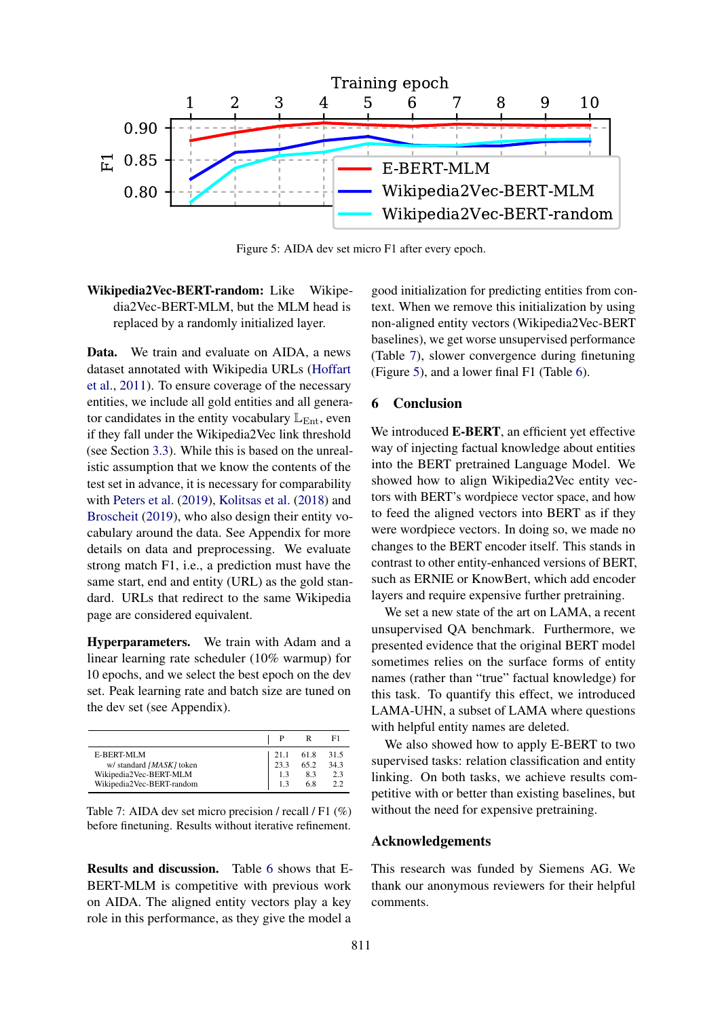<span id="page-8-1"></span>

Figure 5: AIDA dev set micro F1 after every epoch.

# Wikipedia2Vec-BERT-random: Like Wikipedia2Vec-BERT-MLM, but the MLM head is replaced by a randomly initialized layer.

Data. We train and evaluate on AIDA, a news dataset annotated with Wikipedia URLs [\(Hoffart](#page-9-20) [et al.,](#page-9-20) [2011\)](#page-9-20). To ensure coverage of the necessary entities, we include all gold entities and all generator candidates in the entity vocabulary  $\mathbb{L}_{\text{Ent}}$ , even if they fall under the Wikipedia2Vec link threshold (see Section [3.3\)](#page-2-2). While this is based on the unrealistic assumption that we know the contents of the test set in advance, it is necessary for comparability with [Peters et al.](#page-9-1) [\(2019\)](#page-9-1), [Kolitsas et al.](#page-9-21) [\(2018\)](#page-9-21) and [Broscheit](#page-9-19) [\(2019\)](#page-9-19), who also design their entity vocabulary around the data. See Appendix for more details on data and preprocessing. We evaluate strong match F1, i.e., a prediction must have the same start, end and entity (URL) as the gold standard. URLs that redirect to the same Wikipedia page are considered equivalent.

Hyperparameters. We train with Adam and a linear learning rate scheduler (10% warmup) for 10 epochs, and we select the best epoch on the dev set. Peak learning rate and batch size are tuned on the dev set (see Appendix).

<span id="page-8-0"></span>

|                           |      |                  | F1   |
|---------------------------|------|------------------|------|
| <b>E-BERT-MLM</b>         | 21.1 | $61.8$<br>$65.2$ | 31.5 |
| w/ standard [MASK] token  | 23.3 |                  | 34.3 |
| Wikipedia2Vec-BERT-MLM    | 1.3  | 8.3              | 2.3  |
| Wikipedia2Vec-BERT-random |      | 6.8              | 2.2  |

Table 7: AIDA dev set micro precision / recall / F1 (%) before finetuning. Results without iterative refinement.

Results and discussion. Table [6](#page-7-0) shows that E-BERT-MLM is competitive with previous work on AIDA. The aligned entity vectors play a key role in this performance, as they give the model a

good initialization for predicting entities from context. When we remove this initialization by using non-aligned entity vectors (Wikipedia2Vec-BERT baselines), we get worse unsupervised performance (Table [7\)](#page-8-0), slower convergence during finetuning (Figure [5\)](#page-8-1), and a lower final F1 (Table [6\)](#page-7-0).

### 6 Conclusion

We introduced **E-BERT**, an efficient yet effective way of injecting factual knowledge about entities into the BERT pretrained Language Model. We showed how to align Wikipedia2Vec entity vectors with BERT's wordpiece vector space, and how to feed the aligned vectors into BERT as if they were wordpiece vectors. In doing so, we made no changes to the BERT encoder itself. This stands in contrast to other entity-enhanced versions of BERT, such as ERNIE or KnowBert, which add encoder layers and require expensive further pretraining.

We set a new state of the art on LAMA, a recent unsupervised QA benchmark. Furthermore, we presented evidence that the original BERT model sometimes relies on the surface forms of entity names (rather than "true" factual knowledge) for this task. To quantify this effect, we introduced LAMA-UHN, a subset of LAMA where questions with helpful entity names are deleted.

We also showed how to apply E-BERT to two supervised tasks: relation classification and entity linking. On both tasks, we achieve results competitive with or better than existing baselines, but without the need for expensive pretraining.

### Acknowledgements

This research was funded by Siemens AG. We thank our anonymous reviewers for their helpful comments.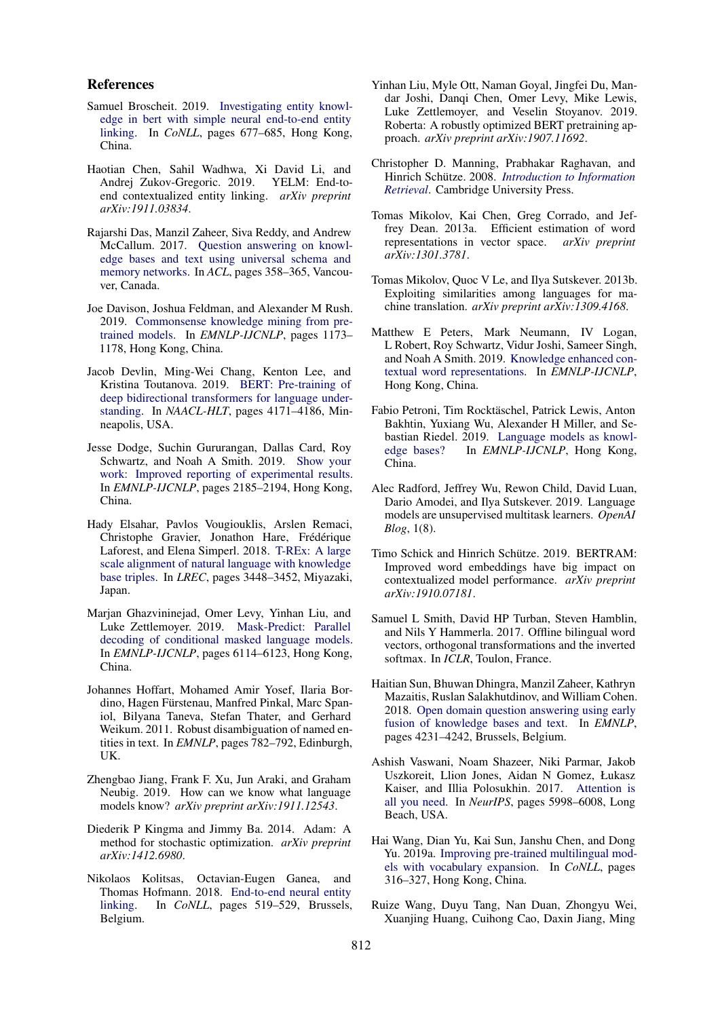### References

- <span id="page-9-19"></span>Samuel Broscheit. 2019. [Investigating entity knowl](https://doi.org/10.18653/v1/K19-1063)[edge in bert with simple neural end-to-end entity](https://doi.org/10.18653/v1/K19-1063) [linking.](https://doi.org/10.18653/v1/K19-1063) In *CoNLL*, pages 677–685, Hong Kong, China.
- <span id="page-9-22"></span>Haotian Chen, Sahil Wadhwa, Xi David Li, and Andrej Zukov-Gregoric. 2019. YELM: End-toend contextualized entity linking. *arXiv preprint arXiv:1911.03834*.
- <span id="page-9-10"></span>Rajarshi Das, Manzil Zaheer, Siva Reddy, and Andrew McCallum. 2017. [Question answering on knowl](https://doi.org/10.18653/v1/p17-2057)[edge bases and text using universal schema and](https://doi.org/10.18653/v1/p17-2057) [memory networks.](https://doi.org/10.18653/v1/p17-2057) In *ACL*, pages 358–365, Vancouver, Canada.
- <span id="page-9-13"></span>Joe Davison, Joshua Feldman, and Alexander M Rush. 2019. [Commonsense knowledge mining from pre](https://doi.org/10.18653/v1/D19-1109)[trained models.](https://doi.org/10.18653/v1/D19-1109) In *EMNLP-IJCNLP*, pages 1173– 1178, Hong Kong, China.
- <span id="page-9-0"></span>Jacob Devlin, Ming-Wei Chang, Kenton Lee, and Kristina Toutanova. 2019. [BERT: Pre-training of](https://doi.org/10.18653/v1/N19-1423) [deep bidirectional transformers for language under](https://doi.org/10.18653/v1/N19-1423)[standing.](https://doi.org/10.18653/v1/N19-1423) In *NAACL-HLT*, pages 4171–4186, Minneapolis, USA.
- <span id="page-9-24"></span>Jesse Dodge, Suchin Gururangan, Dallas Card, Roy Schwartz, and Noah A Smith. 2019. [Show your](https://doi.org/10.18653/v1/d19-1224) [work: Improved reporting of experimental results.](https://doi.org/10.18653/v1/d19-1224) In *EMNLP-IJCNLP*, pages 2185–2194, Hong Kong, China.
- <span id="page-9-16"></span>Hady Elsahar, Pavlos Vougiouklis, Arslen Remaci, Christophe Gravier, Jonathon Hare, Frédérique Laforest, and Elena Simperl. 2018. [T-REx: A large](https://www.aclweb.org/anthology/L18-1544.pdf) [scale alignment of natural language with knowledge](https://www.aclweb.org/anthology/L18-1544.pdf) [base triples.](https://www.aclweb.org/anthology/L18-1544.pdf) In *LREC*, pages 3448–3452, Miyazaki, Japan.
- <span id="page-9-23"></span>Marjan Ghazvininejad, Omer Levy, Yinhan Liu, and Luke Zettlemoyer. 2019. [Mask-Predict: Parallel](https://doi.org/10.18653/v1/D19-1633) [decoding of conditional masked language models.](https://doi.org/10.18653/v1/D19-1633) In *EMNLP-IJCNLP*, pages 6114–6123, Hong Kong, China.
- <span id="page-9-20"></span>Johannes Hoffart, Mohamed Amir Yosef, Ilaria Bordino, Hagen Fürstenau, Manfred Pinkal, Marc Spaniol, Bilyana Taneva, Stefan Thater, and Gerhard Weikum. 2011. Robust disambiguation of named entities in text. In *EMNLP*, pages 782–792, Edinburgh, UK.
- <span id="page-9-14"></span>Zhengbao Jiang, Frank F. Xu, Jun Araki, and Graham Neubig. 2019. How can we know what language models know? *arXiv preprint arXiv:1911.12543*.
- <span id="page-9-18"></span>Diederik P Kingma and Jimmy Ba. 2014. Adam: A method for stochastic optimization. *arXiv preprint arXiv:1412.6980*.
- <span id="page-9-21"></span>Nikolaos Kolitsas, Octavian-Eugen Ganea, and Thomas Hofmann. 2018. [End-to-end neural entity](https://doi.org/10.18653/v1/K18-1050) [linking.](https://doi.org/10.18653/v1/K18-1050) In *CoNLL*, pages 519–529, Brussels, Belgium.
- <span id="page-9-2"></span>Yinhan Liu, Myle Ott, Naman Goyal, Jingfei Du, Mandar Joshi, Danqi Chen, Omer Levy, Mike Lewis, Luke Zettlemoyer, and Veselin Stoyanov. 2019. Roberta: A robustly optimized BERT pretraining approach. *arXiv preprint arXiv:1907.11692*.
- <span id="page-9-17"></span>Christopher D. Manning, Prabhakar Raghavan, and Hinrich Schütze. 2008. *[Introduction to Information](https://doi.org/10.1017/CBO9780511809071) [Retrieval](https://doi.org/10.1017/CBO9780511809071)*. Cambridge University Press.
- <span id="page-9-6"></span>Tomas Mikolov, Kai Chen, Greg Corrado, and Jeffrey Dean. 2013a. Efficient estimation of word representations in vector space. *arXiv preprint arXiv:1301.3781*.
- <span id="page-9-7"></span>Tomas Mikolov, Quoc V Le, and Ilya Sutskever. 2013b. Exploiting similarities among languages for machine translation. *arXiv preprint arXiv:1309.4168*.
- <span id="page-9-1"></span>Matthew E Peters, Mark Neumann, IV Logan, L Robert, Roy Schwartz, Vidur Joshi, Sameer Singh, and Noah A Smith. 2019. [Knowledge enhanced con](https://doi.org/10.18653/v1/D19-1005)[textual word representations.](https://doi.org/10.18653/v1/D19-1005) In *EMNLP-IJCNLP*, Hong Kong, China.
- <span id="page-9-3"></span>Fabio Petroni, Tim Rocktäschel, Patrick Lewis, Anton Bakhtin, Yuxiang Wu, Alexander H Miller, and Sebastian Riedel. 2019. [Language models as knowl](https://doi.org/10.18653/v1/D19-1250)[edge bases?](https://doi.org/10.18653/v1/D19-1250) In *EMNLP-IJCNLP*, Hong Kong, China.
- <span id="page-9-12"></span>Alec Radford, Jeffrey Wu, Rewon Child, David Luan, Dario Amodei, and Ilya Sutskever. 2019. Language models are unsupervised multitask learners. *OpenAI Blog*, 1(8).
- <span id="page-9-15"></span>Timo Schick and Hinrich Schütze. 2019. BERTRAM: Improved word embeddings have big impact on contextualized model performance. *arXiv preprint arXiv:1910.07181*.
- <span id="page-9-8"></span>Samuel L Smith, David HP Turban, Steven Hamblin, and Nils Y Hammerla. 2017. Offline bilingual word vectors, orthogonal transformations and the inverted softmax. In *ICLR*, Toulon, France.
- <span id="page-9-11"></span>Haitian Sun, Bhuwan Dhingra, Manzil Zaheer, Kathryn Mazaitis, Ruslan Salakhutdinov, and William Cohen. 2018. [Open domain question answering using early](https://doi.org/10.18653/v1/d18-1455) [fusion of knowledge bases and text.](https://doi.org/10.18653/v1/d18-1455) In *EMNLP*, pages 4231–4242, Brussels, Belgium.
- <span id="page-9-4"></span>Ashish Vaswani, Noam Shazeer, Niki Parmar, Jakob Uszkoreit, Llion Jones, Aidan N Gomez, Łukasz Kaiser, and Illia Polosukhin. 2017. [Attention is](https://papers.nips.cc/paper/7181-attention-is-all-you-need.pdf) [all you need.](https://papers.nips.cc/paper/7181-attention-is-all-you-need.pdf) In *NeurIPS*, pages 5998–6008, Long Beach, USA.
- <span id="page-9-9"></span>Hai Wang, Dian Yu, Kai Sun, Janshu Chen, and Dong Yu. 2019a. [Improving pre-trained multilingual mod](https://doi.org/10.18653/v1/K19-1030)[els with vocabulary expansion.](https://doi.org/10.18653/v1/K19-1030) In *CoNLL*, pages 316–327, Hong Kong, China.
- <span id="page-9-5"></span>Ruize Wang, Duyu Tang, Nan Duan, Zhongyu Wei, Xuanjing Huang, Cuihong Cao, Daxin Jiang, Ming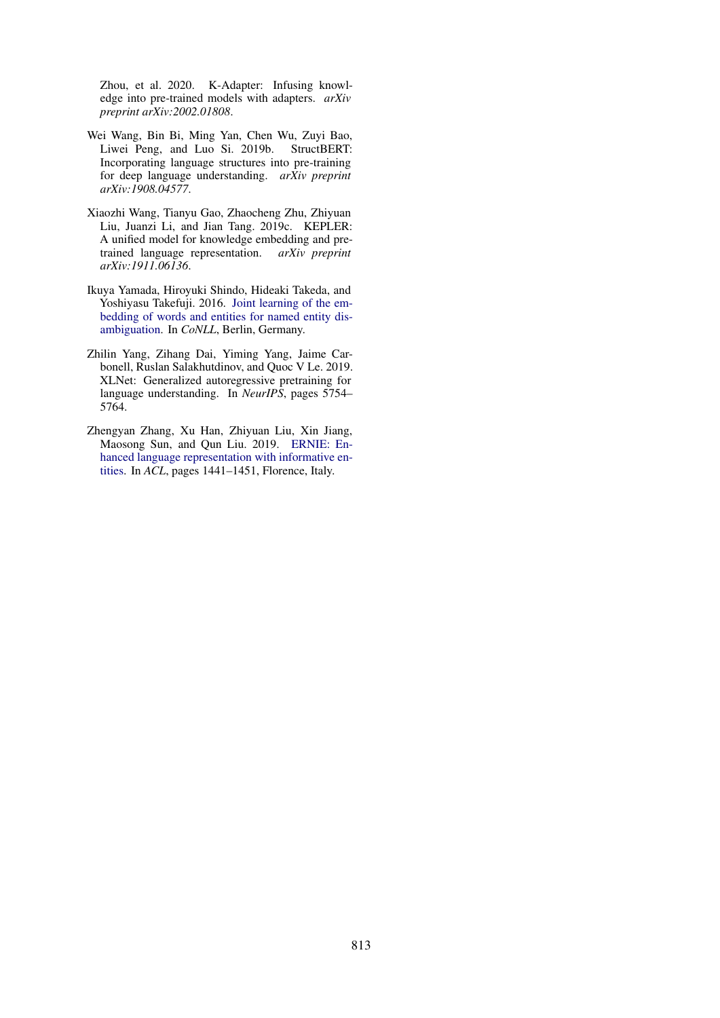Zhou, et al. 2020. K-Adapter: Infusing knowledge into pre-trained models with adapters. *arXiv preprint arXiv:2002.01808*.

- <span id="page-10-3"></span>Wei Wang, Bin Bi, Ming Yan, Chen Wu, Zuyi Bao, Liwei Peng, and Luo Si. 2019b. StructBERT: Incorporating language structures into pre-training for deep language understanding. *arXiv preprint arXiv:1908.04577*.
- <span id="page-10-4"></span>Xiaozhi Wang, Tianyu Gao, Zhaocheng Zhu, Zhiyuan Liu, Juanzi Li, and Jian Tang. 2019c. KEPLER: A unified model for knowledge embedding and pretrained language representation. *arXiv preprint arXiv:1911.06136*.
- <span id="page-10-0"></span>Ikuya Yamada, Hiroyuki Shindo, Hideaki Takeda, and Yoshiyasu Takefuji. 2016. [Joint learning of the em](https://doi.org/10.18653/v1/K16-1025)[bedding of words and entities for named entity dis](https://doi.org/10.18653/v1/K16-1025)[ambiguation.](https://doi.org/10.18653/v1/K16-1025) In *CoNLL*, Berlin, Germany.
- <span id="page-10-2"></span>Zhilin Yang, Zihang Dai, Yiming Yang, Jaime Carbonell, Ruslan Salakhutdinov, and Quoc V Le. 2019. XLNet: Generalized autoregressive pretraining for language understanding. In *NeurIPS*, pages 5754– 5764.
- <span id="page-10-1"></span>Zhengyan Zhang, Xu Han, Zhiyuan Liu, Xin Jiang, Maosong Sun, and Qun Liu. 2019. [ERNIE: En](https://doi.org/10.18653/v1/P19-1139)[hanced language representation with informative en](https://doi.org/10.18653/v1/P19-1139)[tities.](https://doi.org/10.18653/v1/P19-1139) In *ACL*, pages 1441–1451, Florence, Italy.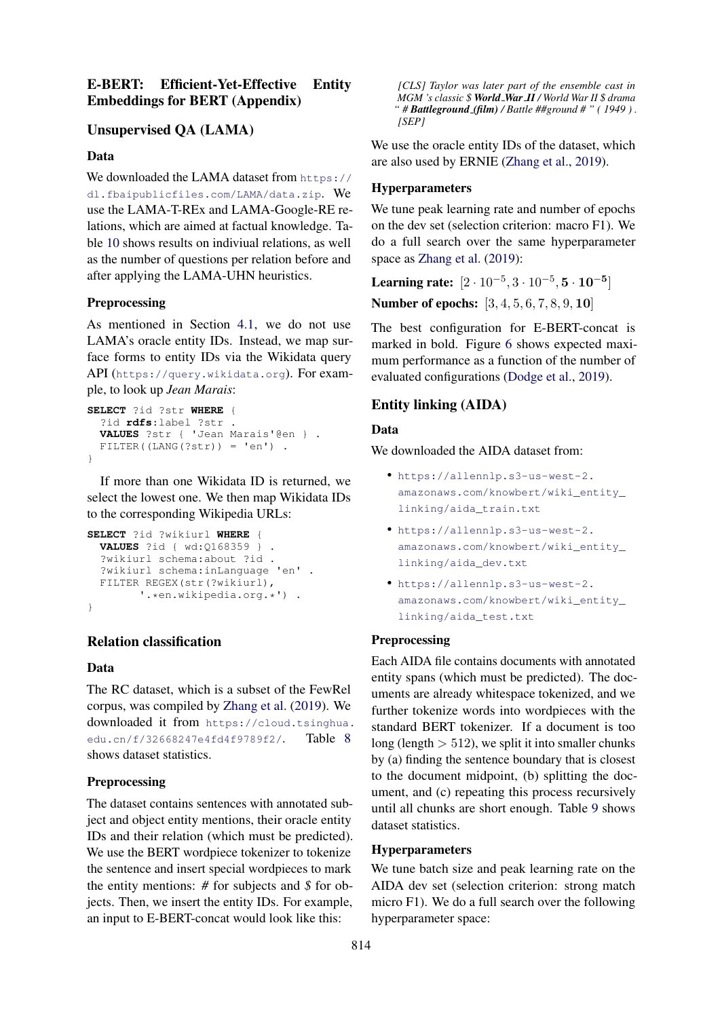# E-BERT: Efficient-Yet-Effective Entity Embeddings for BERT (Appendix)

# Unsupervised QA (LAMA)

### Data

We downloaded the LAMA dataset from [https://](https://dl.fbaipublicfiles.com/LAMA/data.zip) [dl.fbaipublicfiles.com/LAMA/data.zip](https://dl.fbaipublicfiles.com/LAMA/data.zip). We use the LAMA-T-REx and LAMA-Google-RE relations, which are aimed at factual knowledge. Table [10](#page-13-0) shows results on indiviual relations, as well as the number of questions per relation before and after applying the LAMA-UHN heuristics.

### Preprocessing

As mentioned in Section [4.1,](#page-2-7) we do not use LAMA's oracle entity IDs. Instead, we map surface forms to entity IDs via the Wikidata query API (<https://query.wikidata.org>). For example, to look up *Jean Marais*:

```
SELECT ?id ?str WHERE {
  ?id rdfs:label ?str .
  VALUES ?str { 'Jean Marais'@en } .
 FILTER((LANG(?str)) = 'en') .
}
```
If more than one Wikidata ID is returned, we select the lowest one. We then map Wikidata IDs to the corresponding Wikipedia URLs:

```
SELECT ?id ?wikiurl WHERE {
 VALUES ?id { wd:Q168359 } .
  ?wikiurl schema:about ?id .
  ?wikiurl schema:inLanguage 'en' .
  FILTER REGEX(str(?wikiurl),
         '.*en.wikipedia.org.*') .
}
```
# Relation classification

### Data

The RC dataset, which is a subset of the FewRel corpus, was compiled by [Zhang et al.](#page-10-1) [\(2019\)](#page-10-1). We downloaded it from [https://cloud.tsinghua.](https://cloud.tsinghua.edu.cn/f/32668247e4fd4f9789f2/) [edu.cn/f/32668247e4fd4f9789f2/](https://cloud.tsinghua.edu.cn/f/32668247e4fd4f9789f2/). Table [8](#page-12-0) shows dataset statistics.

### Preprocessing

The dataset contains sentences with annotated subject and object entity mentions, their oracle entity IDs and their relation (which must be predicted). We use the BERT wordpiece tokenizer to tokenize the sentence and insert special wordpieces to mark the entity mentions: *#* for subjects and *\$* for objects. Then, we insert the entity IDs. For example, an input to E-BERT-concat would look like this:

*[CLS] Taylor was later part of the ensemble cast in MGM 's classic \$ World War II / World War II \$ drama " # Battleground (film) / Battle ##ground # " ( 1949 ) . [SEP]*

We use the oracle entity IDs of the dataset, which are also used by ERNIE [\(Zhang et al.,](#page-10-1) [2019\)](#page-10-1).

### Hyperparameters

We tune peak learning rate and number of epochs on the dev set (selection criterion: macro F1). We do a full search over the same hyperparameter space as [Zhang et al.](#page-10-1) [\(2019\)](#page-10-1):

Learning rate:  $[2 \cdot 10^{-5}, 3 \cdot 10^{-5}, 5 \cdot 10^{-5}]$ 

Number of epochs: [3, 4, 5, 6, 7, 8, 9, 10]

The best configuration for E-BERT-concat is marked in bold. Figure [6](#page-12-1) shows expected maximum performance as a function of the number of evaluated configurations [\(Dodge et al.,](#page-9-24) [2019\)](#page-9-24).

### Entity linking (AIDA)

### Data

We downloaded the AIDA dataset from:

- [https://allennlp.s3-us-west-2.](https://allennlp.s3-us-west-2.amazonaws.com/knowbert/wiki_entity_linking/aida_train.txt) [amazonaws.com/knowbert/wiki\\_entity\\_](https://allennlp.s3-us-west-2.amazonaws.com/knowbert/wiki_entity_linking/aida_train.txt) [linking/aida\\_train.txt](https://allennlp.s3-us-west-2.amazonaws.com/knowbert/wiki_entity_linking/aida_train.txt)
- [https://allennlp.s3-us-west-2.](https://allennlp.s3-us-west-2.amazonaws.com/knowbert/wiki_entity_linking/aida_dev.txt) [amazonaws.com/knowbert/wiki\\_entity\\_](https://allennlp.s3-us-west-2.amazonaws.com/knowbert/wiki_entity_linking/aida_dev.txt) [linking/aida\\_dev.txt](https://allennlp.s3-us-west-2.amazonaws.com/knowbert/wiki_entity_linking/aida_dev.txt)
- [https://allennlp.s3-us-west-2.](https://allennlp.s3-us-west-2.amazonaws.com/knowbert/wiki_entity_linking/aida_test.txt) [amazonaws.com/knowbert/wiki\\_entity\\_](https://allennlp.s3-us-west-2.amazonaws.com/knowbert/wiki_entity_linking/aida_test.txt) [linking/aida\\_test.txt](https://allennlp.s3-us-west-2.amazonaws.com/knowbert/wiki_entity_linking/aida_test.txt)

### **Preprocessing**

Each AIDA file contains documents with annotated entity spans (which must be predicted). The documents are already whitespace tokenized, and we further tokenize words into wordpieces with the standard BERT tokenizer. If a document is too long (length  $> 512$ ), we split it into smaller chunks by (a) finding the sentence boundary that is closest to the document midpoint, (b) splitting the document, and (c) repeating this process recursively until all chunks are short enough. Table [9](#page-12-2) shows dataset statistics.

#### Hyperparameters

We tune batch size and peak learning rate on the AIDA dev set (selection criterion: strong match micro F1). We do a full search over the following hyperparameter space: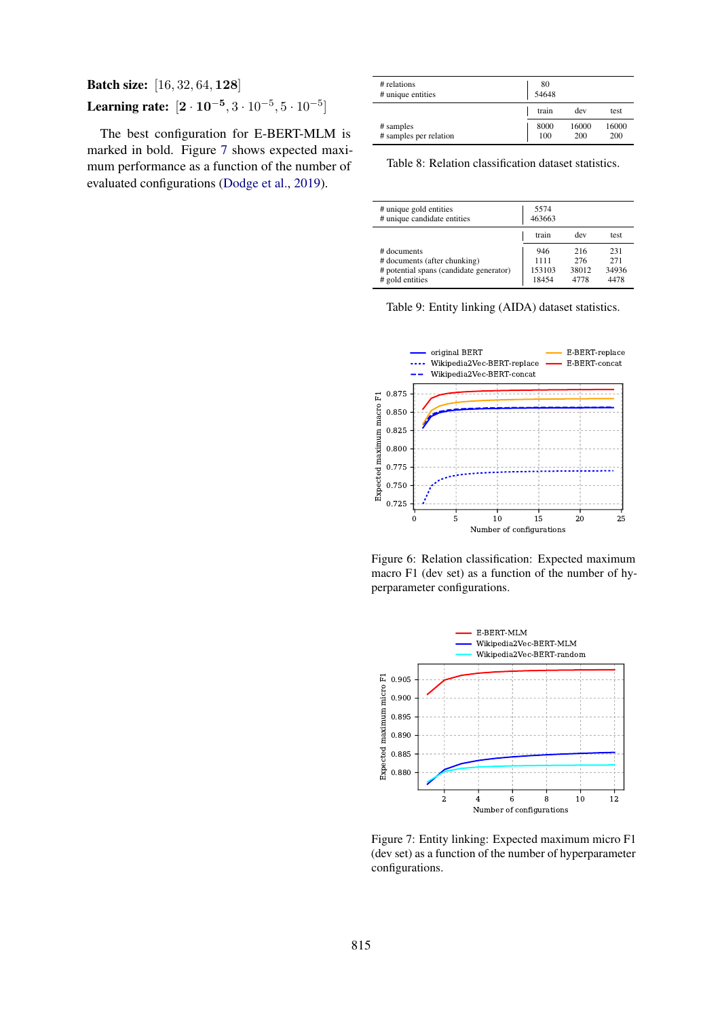# Batch size: [16, 32, 64, 128] Learning rate:  $[2 \cdot 10^{-5}, 3 \cdot 10^{-5}, 5 \cdot 10^{-5}]$

The best configuration for E-BERT-MLM is marked in bold. Figure [7](#page-12-3) shows expected maximum performance as a function of the number of evaluated configurations [\(Dodge et al.,](#page-9-24) [2019\)](#page-9-24).

<span id="page-12-0"></span>

| # relations<br># unique entities    | 80<br>54648 |              |              |
|-------------------------------------|-------------|--------------|--------------|
|                                     | train       | dev          | test         |
| # samples<br># samples per relation | 8000<br>100 | 16000<br>200 | 16000<br>200 |

Table 8: Relation classification dataset statistics.

<span id="page-12-2"></span>

| # unique gold entities<br># unique candidate entities | 5574<br>463663 |       |       |
|-------------------------------------------------------|----------------|-------|-------|
|                                                       | train          | dev   | test. |
| # documents                                           | 946            | 216   | 231   |
| # documents (after chunking)                          | 1111           | 276   | 271   |
| # potential spans (candidate generator)               | 153103         | 38012 | 34936 |
| # gold entities                                       | 18454          | 4778  | 4478  |

Table 9: Entity linking (AIDA) dataset statistics.

<span id="page-12-1"></span>

Figure 6: Relation classification: Expected maximum macro F1 (dev set) as a function of the number of hyperparameter configurations.

<span id="page-12-3"></span>

Figure 7: Entity linking: Expected maximum micro F1 (dev set) as a function of the number of hyperparameter configurations.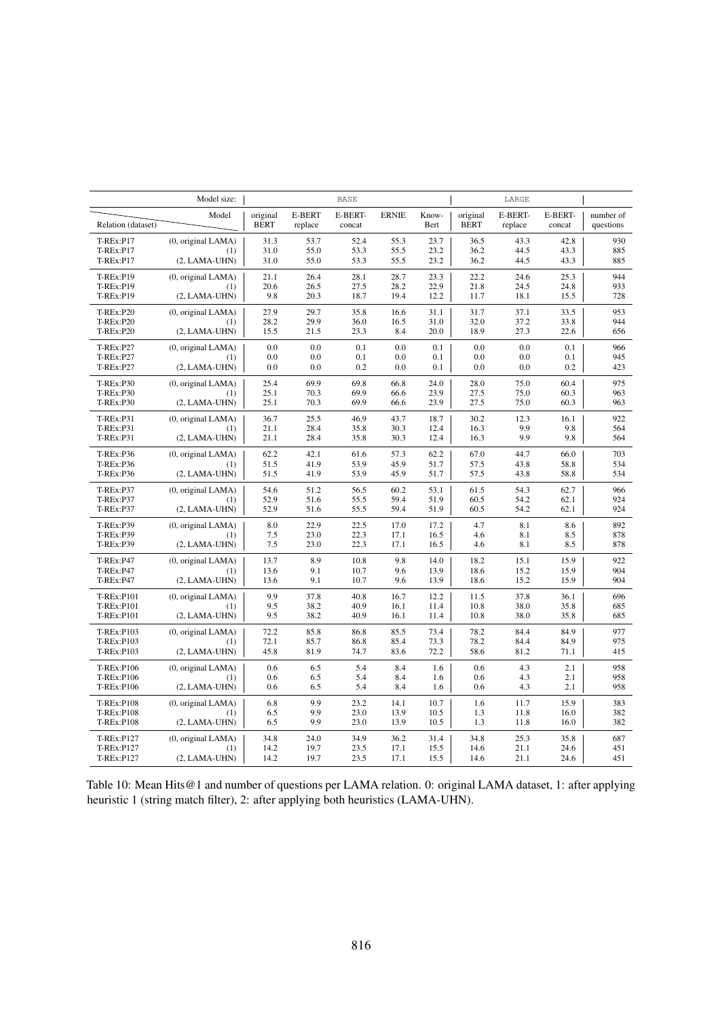<span id="page-13-0"></span>

|                                                          | Model size:                                  |                         |                          | <b>BASE</b>       |                   |                   |                         | LARGE              |                   |                        |
|----------------------------------------------------------|----------------------------------------------|-------------------------|--------------------------|-------------------|-------------------|-------------------|-------------------------|--------------------|-------------------|------------------------|
| Relation (dataset)                                       | Model                                        | original<br><b>BERT</b> | <b>E-BERT</b><br>replace | E-BERT-<br>concat | <b>ERNIE</b>      | Know-<br>Bert     | original<br><b>BERT</b> | E-BERT-<br>replace | E-BERT-<br>concat | number of<br>questions |
| <b>T-REx:P17</b>                                         | (0, original LAMA)                           | 31.3                    | 53.7                     | 52.4              | 55.3              | 23.7              | 36.5                    | 43.3               | 42.8              | 930                    |
| <b>T-REx:P17</b>                                         | (1)                                          | 31.0                    | 55.0                     | 53.3              | 55.5              | 23.2              | 36.2                    | 44.5               | 43.3              | 885                    |
| <b>T-REx:P17</b>                                         | $(2, LAMA-UHN)$                              | 31.0                    | 55.0                     | 53.3              | 55.5              | 23.2              | 36.2                    | 44.5               | 43.3              | 885                    |
| T-REx:P19                                                | (0, original LAMA)                           | 21.1                    | 26.4                     | 28.1              | 28.7              | 23.3              | 22.2                    | 24.6               | 25.3              | 944                    |
| T-REx:P19                                                | (1)                                          | 20.6                    | 26.5                     | 27.5              | 28.2              | 22.9              | 21.8                    | 24.5               | 24.8              | 933                    |
| T-REx:P19                                                | $(2, LAMA-UHN)$                              | 9.8                     | 20.3                     | 18.7              | 19.4              | 12.2              | 11.7                    | 18.1               | 15.5              | 728                    |
| <b>T-REx:P20</b>                                         | (0, original LAMA)                           | 27.9                    | 29.7                     | 35.8              | 16.6              | 31.1              | 31.7                    | 37.1               | 33.5              | 953                    |
| <b>T-REx:P20</b>                                         | (1)                                          | 28.2                    | 29.9                     | 36.0              | 16.5              | 31.0              | 32.0                    | 37.2               | 33.8              | 944                    |
| <b>T-REx:P20</b>                                         | $(2, LAMA-UHN)$                              | 15.5                    | 21.5                     | 23.3              | 8.4               | 20.0              | 18.9                    | 27.3               | 22.6              | 656                    |
| <b>T-REx:P27</b><br><b>T-REx:P27</b>                     | (0, original LAMA)<br>(1)<br>$(2, LAMA-UHN)$ | 0.0<br>0.0<br>0.0       | 0.0<br>0.0<br>0.0        | 0.1<br>0.1<br>0.2 | 0.0<br>0.0<br>0.0 | 0.1<br>0.1<br>0.1 | 0.0<br>0.0<br>0.0       | 0.0<br>0.0<br>0.0  | 0.1<br>0.1<br>0.2 | 966<br>945<br>423      |
| <b>T-REx:P27</b><br><b>T-REx:P30</b><br><b>T-REx:P30</b> | (0, original LAMA)<br>(1)                    | 25.4<br>25.1            | 69.9<br>70.3             | 69.8<br>69.9      | 66.8<br>66.6      | 24.0<br>23.9      | 28.0<br>27.5            | 75.0<br>75.0       | 60.4<br>60.3      | 975<br>963             |
| <b>T-REx:P30</b>                                         | $(2, LAMA-UHN)$                              | 25.1                    | 70.3                     | 69.9              | 66.6              | 23.9              | 27.5                    | 75.0               | 60.3              | 963                    |
| T-REx:P31                                                | (0, original LAMA)                           | 36.7                    | 25.5                     | 46.9              | 43.7              | 18.7              | 30.2                    | 12.3               | 16.1              | 922                    |
| <b>T-REx:P31</b>                                         | (1)                                          | 21.1                    | 28.4                     | 35.8              | 30.3              | 12.4              | 16.3                    | 9.9                | 9.8               | 564                    |
| T-REx:P31                                                | $(2, LAMA-UHN)$                              | 21.1                    | 28.4                     | 35.8              | 30.3              | 12.4              | 16.3                    | 9.9                | 9.8               | 564                    |
| <b>T-REx:P36</b>                                         | (0, original LAMA)                           | 62.2                    | 42.1                     | 61.6              | 57.3              | 62.2              | 67.0                    | 44.7               | 66.0              | 703                    |
| T-REx:P36                                                | (1)                                          | 51.5                    | 41.9                     | 53.9              | 45.9              | 51.7              | 57.5                    | 43.8               | 58.8              | 534                    |
| <b>T-REx:P36</b>                                         | $(2, LAMA-UHN)$                              | 51.5                    | 41.9                     | 53.9              | 45.9              | 51.7              | 57.5                    | 43.8               | 58.8              | 534                    |
| <b>T-REx:P37</b>                                         | (0, original LAMA)                           | 54.6                    | 51.2                     | 56.5              | 60.2              | 53.1              | 61.5                    | 54.3               | 62.7              | 966                    |
| <b>T-REx:P37</b>                                         | (1)                                          | 52.9                    | 51.6                     | 55.5              | 59.4              | 51.9              | 60.5                    | 54.2               | 62.1              | 924                    |
| <b>T-REx:P37</b>                                         | $(2, LAMA-UHN)$                              | 52.9                    | 51.6                     | 55.5              | 59.4              | 51.9              | 60.5                    | 54.2               | 62.1              | 924                    |
| <b>T-REx:P39</b>                                         | (0, original LAMA)                           | 8.0                     | 22.9                     | 22.5              | 17.0              | 17.2              | 4.7                     | 8.1                | 8.6               | 892                    |
| <b>T-REx:P39</b>                                         | (1)                                          | 7.5                     | 23.0                     | 22.3              | 17.1              | 16.5              | 4.6                     | 8.1                | 8.5               | 878                    |
| <b>T-REx:P39</b>                                         | $(2, LAMA-UHN)$                              | 7.5                     | 23.0                     | 22.3              | 17.1              | 16.5              | 4.6                     | 8.1                | 8.5               | 878                    |
| T-REx:P47                                                | (0, original LAMA)                           | 13.7                    | 8.9                      | 10.8              | 9.8               | 14.0              | 18.2                    | 15.1               | 15.9              | 922                    |
| <b>T-REx:P47</b>                                         | (1)                                          | 13.6                    | 9.1                      | 10.7              | 9.6               | 13.9              | 18.6                    | 15.2               | 15.9              | 904                    |
| <b>T-REx:P47</b>                                         | $(2, LAMA-UHN)$                              | 13.6                    | 9.1                      | 10.7              | 9.6               | 13.9              | 18.6                    | 15.2               | 15.9              | 904                    |
| T-REx:P101                                               | (0, original LAMA)                           | 9.9                     | 37.8                     | 40.8              | 16.7              | 12.2              | 11.5                    | 37.8               | 36.1              | 696                    |
| T-REx:P101                                               | (1)                                          | 9.5                     | 38.2                     | 40.9              | 16.1              | 11.4              | 10.8                    | 38.0               | 35.8              | 685                    |
| T-REx:P101                                               | $(2, LAMA-UHN)$                              | 9.5                     | 38.2                     | 40.9              | 16.1              | 11.4              | 10.8                    | 38.0               | 35.8              | 685                    |
| T-REx:P103                                               | (0, original LAMA)                           | 72.2                    | 85.8                     | 86.8              | 85.5              | 73.4              | 78.2                    | 84.4               | 84.9              | 977                    |
| T-REx:P103                                               | (1)                                          | 72.1                    | 85.7                     | 86.8              | 85.4              | 73.3              | 78.2                    | 84.4               | 84.9              | 975                    |
| T-REx:P103                                               | $(2, LAMA-UHN)$                              | 45.8                    | 81.9                     | 74.7              | 83.6              | 72.2              | 58.6                    | 81.2               | 71.1              | 415                    |
| T-REx:P106                                               | (0, original LAMA)                           | 0.6                     | 6.5                      | 5.4               | 8.4               | 1.6               | 0.6                     | 4.3                | 2.1               | 958                    |
| T-REx:P106                                               | (1)                                          | 0.6                     | 6.5                      | 5.4               | 8.4               | 1.6               | 0.6                     | 4.3                | 2.1               | 958                    |
| <b>T-REx:P106</b>                                        | $(2, LAMA-UHN)$                              | 0.6                     | 6.5                      | 5.4               | 8.4               | 1.6               | 0.6                     | 4.3                | 2.1               | 958                    |
| <b>T-REx:P108</b>                                        | (0, original LAMA)                           | 6.8                     | 9.9                      | 23.2              | 14.1              | 10.7              | 1.6                     | 11.7               | 15.9              | 383                    |
| <b>T-REx:P108</b>                                        | (1)                                          | 6.5                     | 9.9                      | 23.0              | 13.9              | 10.5              | 1.3                     | 11.8               | 16.0              | 382                    |
| <b>T-REx:P108</b>                                        | $(2, LAMA-UHN)$                              | 6.5                     | 9.9                      | 23.0              | 13.9              | 10.5              | 1.3                     | 11.8               | 16.0              | 382                    |
| T-REx:P127                                               | (0, original LAMA)                           | 34.8                    | 24.0                     | 34.9              | 36.2              | 31.4              | 34.8                    | 25.3               | 35.8              | 687                    |
| T-REx:P127                                               | (1)                                          | 14.2                    | 19.7                     | 23.5              | 17.1              | 15.5              | 14.6                    | 21.1               | 24.6              | 451                    |
| T-REx:P127                                               | $(2, LAMA-UHN)$                              | 14.2                    | 19.7                     | 23.5              | 17.1              | 15.5              | 14.6                    | 21.1               | 24.6              | 451                    |

Table 10: Mean Hits@1 and number of questions per LAMA relation. 0: original LAMA dataset, 1: after applying heuristic 1 (string match filter), 2: after applying both heuristics (LAMA-UHN).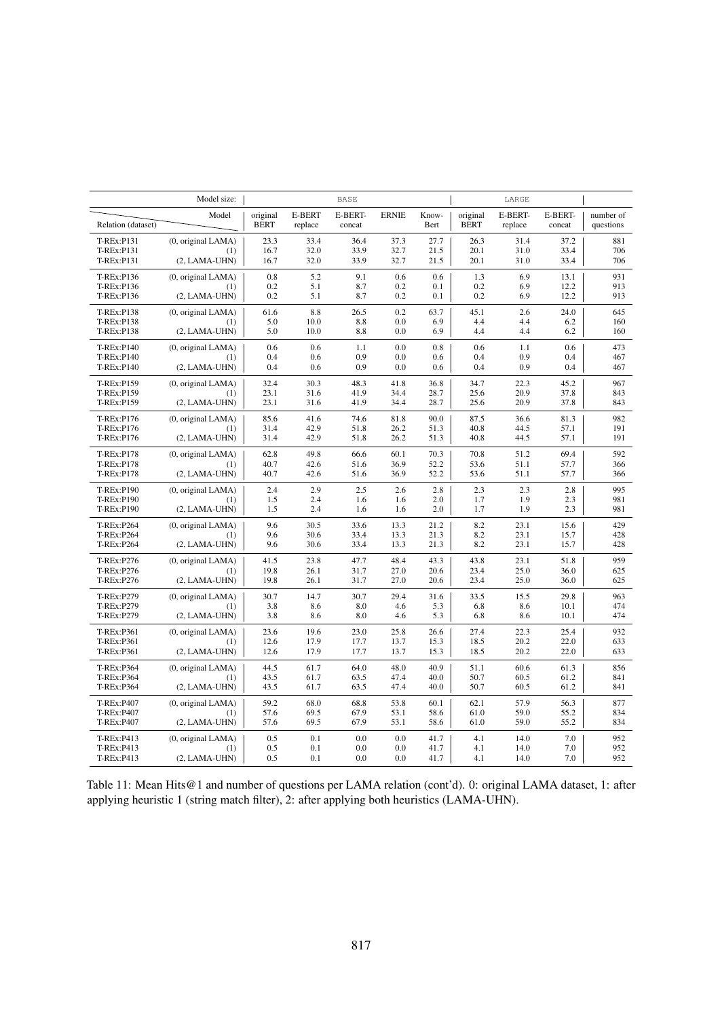|                    | Model size:        |                         |                          | <b>BASE</b>       |              |               |                         | LARGE              |                   |                        |
|--------------------|--------------------|-------------------------|--------------------------|-------------------|--------------|---------------|-------------------------|--------------------|-------------------|------------------------|
| Relation (dataset) | Model              | original<br><b>BERT</b> | <b>E-BERT</b><br>replace | E-BERT-<br>concat | <b>ERNIE</b> | Know-<br>Bert | original<br><b>BERT</b> | E-BERT-<br>replace | E-BERT-<br>concat | number of<br>questions |
| T-REx:P131         | (0, original LAMA) | 23.3                    | 33.4                     | 36.4              | 37.3         | 27.7          | 26.3                    | 31.4               | 37.2              | 881                    |
| T-REx:P131         | (1)                | 16.7                    | 32.0                     | 33.9              | 32.7         | 21.5          | 20.1                    | 31.0               | 33.4              | 706                    |
| T-REx:P131         | $(2, LAMA-UHN)$    | 16.7                    | 32.0                     | 33.9              | 32.7         | 21.5          | 20.1                    | 31.0               | 33.4              | 706                    |
| T-REx:P136         | (0, original LAMA) | 0.8                     | 5.2                      | 9.1               | 0.6          | 0.6           | 1.3                     | 6.9                | 13.1              | 931                    |
| T-REx:P136         | (1)                | 0.2                     | 5.1                      | 8.7               | 0.2          | 0.1           | 0.2                     | 6.9                | 12.2              | 913                    |
| T-REx:P136         | $(2, LAMA-UHN)$    | 0.2                     | 5.1                      | 8.7               | 0.2          | 0.1           | 0.2                     | 6.9                | 12.2              | 913                    |
| T-REx:P138         | (0, original LAMA) | 61.6                    | 8.8                      | 26.5              | 0.2          | 63.7          | 45.1                    | 2.6                | 24.0              | 645                    |
| T-REx:P138         | (1)                | 5.0                     | 10.0                     | 8.8               | 0.0          | 6.9           | 4.4                     | 4.4                | 6.2               | 160                    |
| <b>T-REx:P138</b>  | $(2, LAMA-UHN)$    | 5.0                     | 10.0                     | 8.8               | 0.0          | 6.9           | 4.4                     | 4.4                | 6.2               | 160                    |
| T-REx:P140         | (0, original LAMA) | 0.6                     | 0.6                      | 1.1               | 0.0          | 0.8           | 0.6                     | 1.1                | 0.6               | 473                    |
| T-REx:P140         | (1)                | 0.4                     | 0.6                      | 0.9               | 0.0          | 0.6           | 0.4                     | 0.9                | 0.4               | 467                    |
| T-REx:P140         | $(2, LAMA-UHN)$    | 0.4                     | 0.6                      | 0.9               | 0.0          | 0.6           | 0.4                     | 0.9                | 0.4               | 467                    |
| T-REx:P159         | (0, original LAMA) | 32.4                    | 30.3                     | 48.3              | 41.8         | 36.8          | 34.7                    | 22.3               | 45.2              | 967                    |
| T-REx:P159         | (1)                | 23.1                    | 31.6                     | 41.9              | 34.4         | 28.7          | 25.6                    | 20.9               | 37.8              | 843                    |
| T-REx:P159         | $(2, LAMA-UHN)$    | 23.1                    | 31.6                     | 41.9              | 34.4         | 28.7          | 25.6                    | 20.9               | 37.8              | 843                    |
| T-REx:P176         | (0, original LAMA) | 85.6                    | 41.6                     | 74.6              | 81.8         | 90.0          | 87.5                    | 36.6               | 81.3              | 982                    |
| T-REx:P176         | (1)                | 31.4                    | 42.9                     | 51.8              | 26.2         | 51.3          | 40.8                    | 44.5               | 57.1              | 191                    |
| T-REx:P176         | $(2, LAMA-UHN)$    | 31.4                    | 42.9                     | 51.8              | 26.2         | 51.3          | 40.8                    | 44.5               | 57.1              | 191                    |
| T-REx:P178         | (0, original LAMA) | 62.8                    | 49.8                     | 66.6              | 60.1         | 70.3          | 70.8                    | 51.2               | 69.4              | 592                    |
| T-REx:P178         | (1)                | 40.7                    | 42.6                     | 51.6              | 36.9         | 52.2          | 53.6                    | 51.1               | 57.7              | 366                    |
| T-REx:P178         | $(2, LAMA-UHN)$    | 40.7                    | 42.6                     | 51.6              | 36.9         | 52.2          | 53.6                    | 51.1               | 57.7              | 366                    |
| T-REx:P190         | (0, original LAMA) | 2.4                     | 2.9                      | 2.5               | 2.6          | 2.8           | 2.3                     | 2.3                | 2.8               | 995                    |
| T-REx:P190         | (1)                | 1.5                     | 2.4                      | 1.6               | 1.6          | 2.0           | 1.7                     | 1.9                | 2.3               | 981                    |
| T-REx:P190         | $(2, LAMA-UHN)$    | 1.5                     | 2.4                      | 1.6               | 1.6          | 2.0           | 1.7                     | 1.9                | 2.3               | 981                    |
| T-REx:P264         | (0, original LAMA) | 9.6                     | 30.5                     | 33.6              | 13.3         | 21.2          | 8.2                     | 23.1               | 15.6              | 429                    |
| T-REx:P264         | (1)                | 9.6                     | 30.6                     | 33.4              | 13.3         | 21.3          | 8.2                     | 23.1               | 15.7              | 428                    |
| T-REx:P264         | $(2, LAMA-UHN)$    | 9.6                     | 30.6                     | 33.4              | 13.3         | 21.3          | 8.2                     | 23.1               | 15.7              | 428                    |
| T-REx:P276         | (0, original LAMA) | 41.5                    | 23.8                     | 47.7              | 48.4         | 43.3          | 43.8                    | 23.1               | 51.8              | 959                    |
| T-REx:P276         | (1)                | 19.8                    | 26.1                     | 31.7              | 27.0         | 20.6          | 23.4                    | 25.0               | 36.0              | 625                    |
| T-REx:P276         | $(2, LAMA-UHN)$    | 19.8                    | 26.1                     | 31.7              | 27.0         | 20.6          | 23.4                    | 25.0               | 36.0              | 625                    |
| T-REx:P279         | (0, original LAMA) | 30.7                    | 14.7                     | 30.7              | 29.4         | 31.6          | 33.5                    | 15.5               | 29.8              | 963                    |
| T-REx:P279         | (1)                | 3.8                     | 8.6                      | 8.0               | 4.6          | 5.3           | 6.8                     | 8.6                | 10.1              | 474                    |
| T-REx:P279         | $(2, LAMA-UHN)$    | 3.8                     | 8.6                      | 8.0               | 4.6          | 5.3           | 6.8                     | 8.6                | 10.1              | 474                    |
| T-REx:P361         | (0, original LAMA) | 23.6                    | 19.6                     | 23.0              | 25.8         | 26.6          | 27.4                    | 22.3               | 25.4              | 932                    |
| T-REx:P361         | (1)                | 12.6                    | 17.9                     | 17.7              | 13.7         | 15.3          | 18.5                    | 20.2               | 22.0              | 633                    |
| T-REx:P361         | $(2, LAMA-UHN)$    | 12.6                    | 17.9                     | 17.7              | 13.7         | 15.3          | 18.5                    | 20.2               | 22.0              | 633                    |
| T-REx:P364         | (0, original LAMA) | 44.5                    | 61.7                     | 64.0              | 48.0         | 40.9          | 51.1                    | 60.6               | 61.3              | 856                    |
| T-REx:P364         | (1)                | 43.5                    | 61.7                     | 63.5              | 47.4         | 40.0          | 50.7                    | 60.5               | 61.2              | 841                    |
| T-REx:P364         | $(2, LAMA-UHN)$    | 43.5                    | 61.7                     | 63.5              | 47.4         | 40.0          | 50.7                    | 60.5               | 61.2              | 841                    |
| T-REx:P407         | (0, original LAMA) | 59.2                    | 68.0                     | 68.8              | 53.8         | 60.1          | 62.1                    | 57.9               | 56.3              | 877                    |
| T-REx:P407         | (1)                | 57.6                    | 69.5                     | 67.9              | 53.1         | 58.6          | 61.0                    | 59.0               | 55.2              | 834                    |
| T-REx:P407         | $(2, LAMA-UHN)$    | 57.6                    | 69.5                     | 67.9              | 53.1         | 58.6          | 61.0                    | 59.0               | 55.2              | 834                    |
| T-REx:P413         | (0, original LAMA) | 0.5                     | 0.1                      | 0.0               | 0.0          | 41.7          | 4.1                     | 14.0               | 7.0               | 952                    |
| T-REx:P413         | (1)                | 0.5                     | 0.1                      | 0.0               | 0.0          | 41.7          | 4.1                     | 14.0               | 7.0               | 952                    |
| T-REx:P413         | $(2, LAMA-UHN)$    | 0.5                     | 0.1                      | 0.0               | 0.0          | 41.7          | 4.1                     | 14.0               | 7.0               | 952                    |

Table 11: Mean Hits@1 and number of questions per LAMA relation (cont'd). 0: original LAMA dataset, 1: after applying heuristic 1 (string match filter), 2: after applying both heuristics (LAMA-UHN).